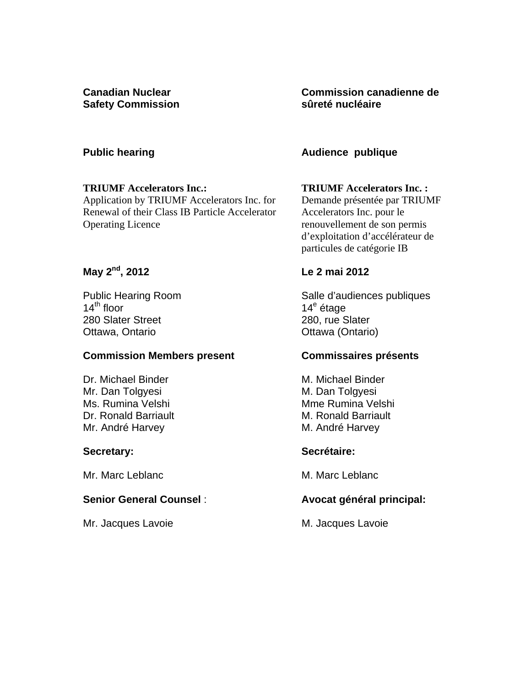**Canadian Nuclear Safety Commission** 

### **Public hearing**

#### **TRIUMF Accelerators Inc.:**

Application by TRIUMF Accelerators Inc. for Renewal of their Class IB Particle Accelerator Operating Licence

# **May 2nd, 2012**

Public Hearing Room  $14<sup>th</sup>$  floor 280 Slater Street Ottawa, Ontario

### **Commission Members present**

Dr. Michael Binder Mr. Dan Tolgyesi Ms. Rumina Velshi Dr. Ronald Barriault Mr. André Harvey

### **Secretary:**

Mr. Marc Leblanc

### **Senior General Counsel** :

Mr. Jacques Lavoie

**Commission canadienne de sûreté nucléaire** 

### **Audience publique**

#### **TRIUMF Accelerators Inc. :**

Demande présentée par TRIUMF Accelerators Inc. pour le renouvellement de son permis d'exploitation d'accélérateur de particules de catégorie IB

## **Le 2 mai 2012**

Salle d'audiences publiques 14<sup>e</sup> étage 280, rue Slater Ottawa (Ontario)

### **Commissaires présents**

M. Michael Binder M. Dan Tolgyesi Mme Rumina Velshi M. Ronald Barriault M. André Harvey

### **Secrétaire:**

M. Marc Leblanc

### **Avocat général principal:**

M. Jacques Lavoie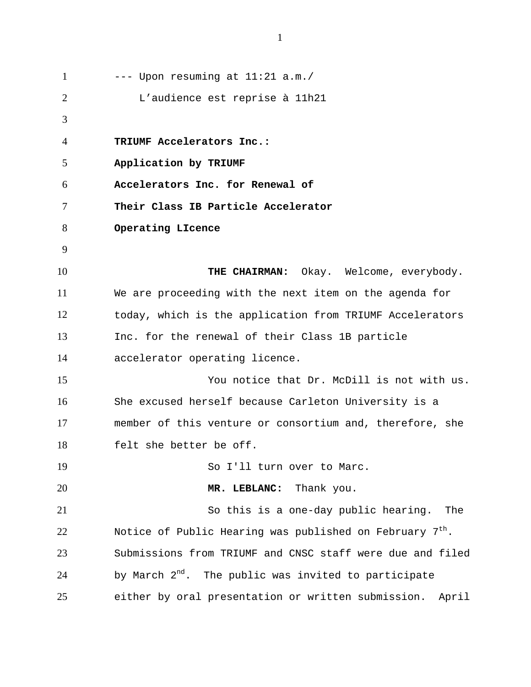--- Upon resuming at 11:21 a.m./ L'audience est reprise à 11h21 **TRIUMF Accelerators Inc.: Application by TRIUMF Accelerators Inc. for Renewal of Their Class IB Particle Accelerator Operating LIcence THE CHAIRMAN:** Okay. Welcome, everybody. We are proceeding with the next item on the agenda for today, which is the application from TRIUMF Accelerators Inc. for the renewal of their Class 1B particle accelerator operating licence. You notice that Dr. McDill is not with us. She excused herself because Carleton University is a member of this venture or consortium and, therefore, she felt she better be off. So I'll turn over to Marc. **MR. LEBLANC:** Thank you. So this is a one-day public hearing. The Notice of Public Hearing was published on February  $7<sup>th</sup>$ . Submissions from TRIUMF and CNSC staff were due and filed by March  $2<sup>nd</sup>$ . The public was invited to participate either by oral presentation or written submission. April 1 2 3 4 5 6 7 8 9 10 11 12 13 14 15 16 17 18 19 20 21 22 23 24 25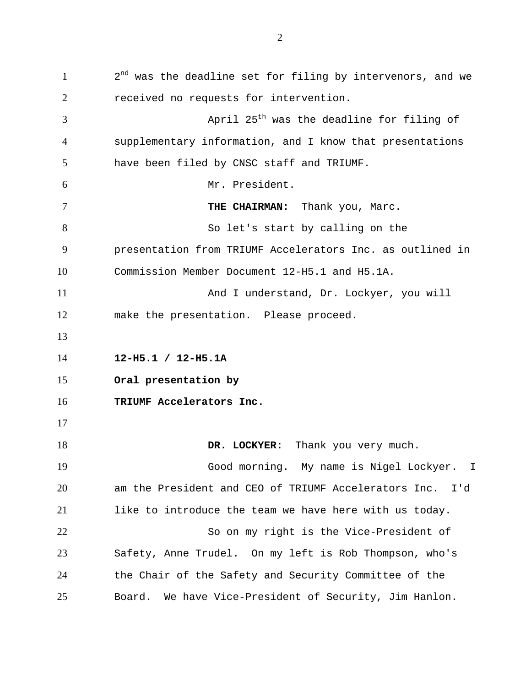$2<sup>nd</sup>$  was the deadline set for filing by intervenors, and we received no requests for intervention. April  $25<sup>th</sup>$  was the deadline for filing of supplementary information, and I know that presentations have been filed by CNSC staff and TRIUMF. Mr. President. **THE CHAIRMAN:** Thank you, Marc. So let's start by calling on the presentation from TRIUMF Accelerators Inc. as outlined in Commission Member Document 12-H5.1 and H5.1A. And I understand, Dr. Lockyer, you will make the presentation. Please proceed. **12-H5.1 / 12-H5.1A Oral presentation by TRIUMF Accelerators Inc. DR. LOCKYER:** Thank you very much. Good morning. My name is Nigel Lockyer. I am the President and CEO of TRIUMF Accelerators Inc. I'd like to introduce the team we have here with us today. So on my right is the Vice-President of Safety, Anne Trudel. On my left is Rob Thompson, who's the Chair of the Safety and Security Committee of the Board. We have Vice-President of Security, Jim Hanlon. 1 2 3 4 5 6 7 8 9 10 11 12 13 14 15 16 17 18 19 20 21 22 23 24 25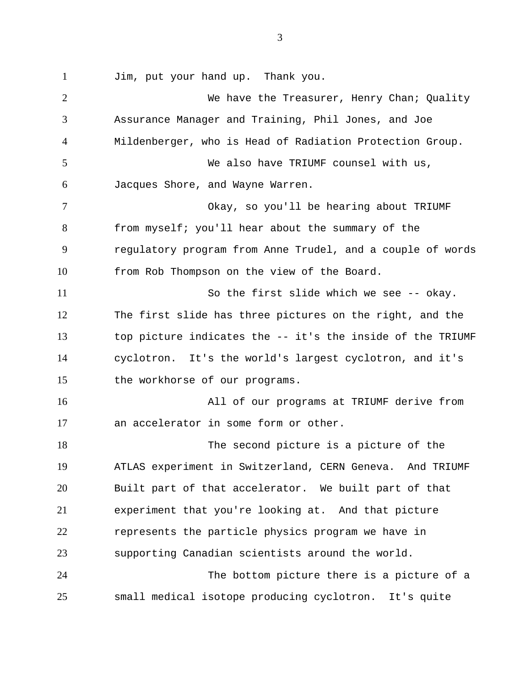1

Jim, put your hand up. Thank you.

We have the Treasurer, Henry Chan; Quality Assurance Manager and Training, Phil Jones, and Joe Mildenberger, who is Head of Radiation Protection Group. We also have TRIUMF counsel with us, Jacques Shore, and Wayne Warren. Okay, so you'll be hearing about TRIUMF from myself; you'll hear about the summary of the regulatory program from Anne Trudel, and a couple of words from Rob Thompson on the view of the Board. So the first slide which we see -- okay. The first slide has three pictures on the right, and the top picture indicates the -- it's the inside of the TRIUMF cyclotron. It's the world's largest cyclotron, and it's the workhorse of our programs. All of our programs at TRIUMF derive from an accelerator in some form or other. The second picture is a picture of the ATLAS experiment in Switzerland, CERN Geneva. And TRIUMF Built part of that accelerator. We built part of that experiment that you're looking at. And that picture represents the particle physics program we have in supporting Canadian scientists around the world. The bottom picture there is a picture of a small medical isotope producing cyclotron. It's quite 2 3 4 5 6 7 8 9 10 11 12 13 14 15 16 17 18 19 20 21 22 23 24 25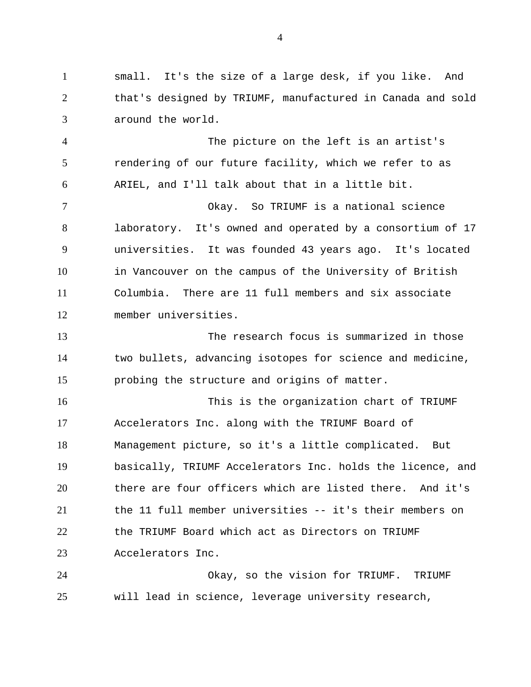small. It's the size of a large desk, if you like. And that's designed by TRIUMF, manufactured in Canada and sold around the world. 1 2 3

The picture on the left is an artist's rendering of our future facility, which we refer to as ARIEL, and I'll talk about that in a little bit. 4 5 6

Okay. So TRIUMF is a national science laboratory. It's owned and operated by a consortium of 17 universities. It was founded 43 years ago. It's located in Vancouver on the campus of the University of British Columbia. There are 11 full members and six associate member universities. 7 8 9 10 11 12

The research focus is summarized in those two bullets, advancing isotopes for science and medicine, probing the structure and origins of matter. 13 14 15

This is the organization chart of TRIUMF Accelerators Inc. along with the TRIUMF Board of Management picture, so it's a little complicated. But basically, TRIUMF Accelerators Inc. holds the licence, and there are four officers which are listed there. And it's the 11 full member universities -- it's their members on the TRIUMF Board which act as Directors on TRIUMF Accelerators Inc. 16 17 18 19 20 21 22 23

Okay, so the vision for TRIUMF. TRIUMF will lead in science, leverage university research, 24 25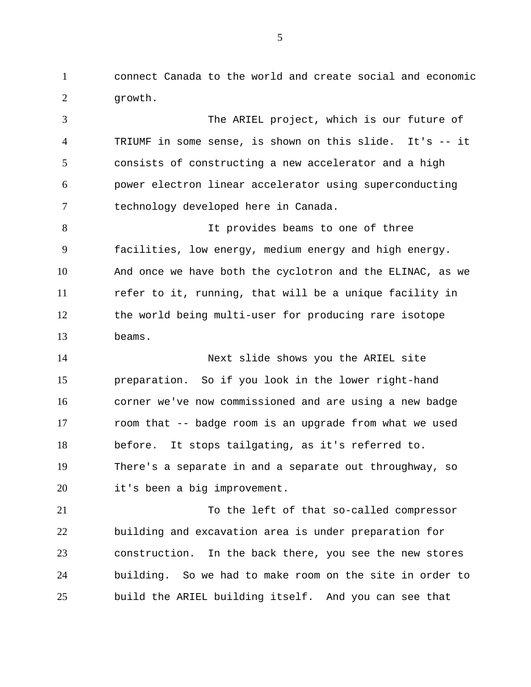connect Canada to the world and create social and economic growth. 1 2

The ARIEL project, which is our future of TRIUMF in some sense, is shown on this slide. It's -- it consists of constructing a new accelerator and a high power electron linear accelerator using superconducting technology developed here in Canada. It provides beams to one of three facilities, low energy, medium energy and high energy. And once we have both the cyclotron and the ELINAC, as we refer to it, running, that will be a unique facility in the world being multi-user for producing rare isotope beams. Next slide shows you the ARIEL site preparation. So if you look in the lower right-hand corner we've now commissioned and are using a new badge room that -- badge room is an upgrade from what we used before. It stops tailgating, as it's referred to. There's a separate in and a separate out throughway, so it's been a big improvement. To the left of that so-called compressor building and excavation area is under preparation for construction. In the back there, you see the new stores 3 4 5 6 7 8 9 10 11 12 13 14 15 16 17 18 19 20 21 22 23

building. So we had to make room on the site in order to build the ARIEL building itself. And you can see that 24 25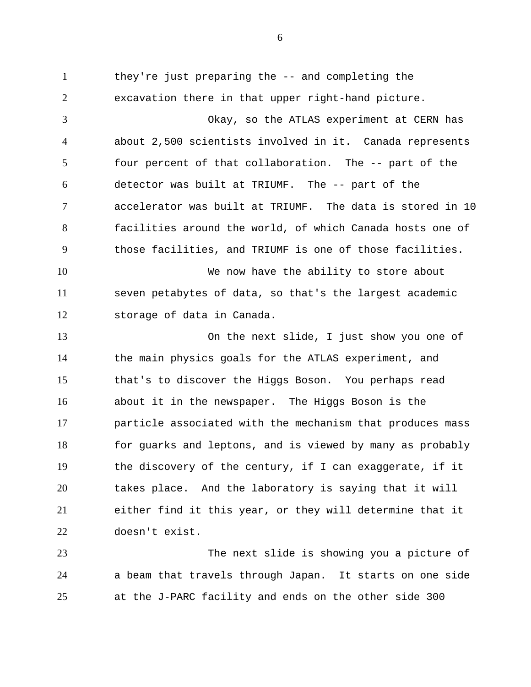they're just preparing the -- and completing the excavation there in that upper right-hand picture. Okay, so the ATLAS experiment at CERN has about 2,500 scientists involved in it. Canada represents four percent of that collaboration. The -- part of the detector was built at TRIUMF. The -- part of the accelerator was built at TRIUMF. The data is stored in 10 facilities around the world, of which Canada hosts one of those facilities, and TRIUMF is one of those facilities. We now have the ability to store about seven petabytes of data, so that's the largest academic storage of data in Canada. On the next slide, I just show you one of the main physics goals for the ATLAS experiment, and that's to discover the Higgs Boson. You perhaps read about it in the newspaper. The Higgs Boson is the particle associated with the mechanism that produces mass for guarks and leptons, and is viewed by many as probably the discovery of the century, if I can exaggerate, if it takes place. And the laboratory is saying that it will either find it this year, or they will determine that it doesn't exist. 1 2 3 4 5 6 7 8 9 10 11 12 13 14 15 16 17 18 19 20 21 22

The next slide is showing you a picture of a beam that travels through Japan. It starts on one side at the J-PARC facility and ends on the other side 300 23 24 25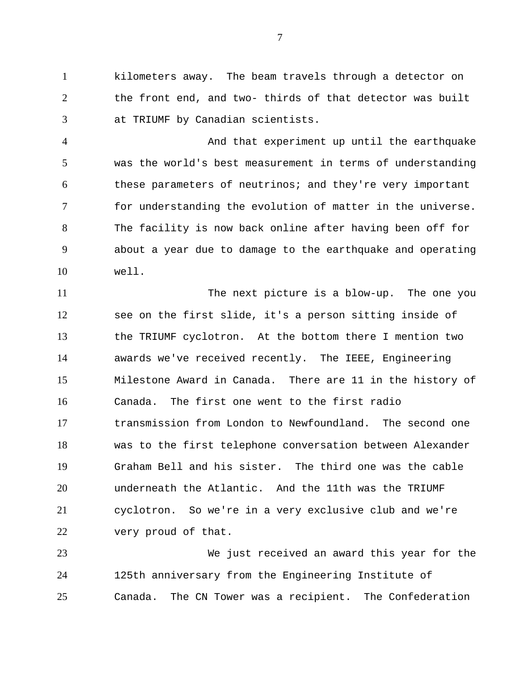kilometers away. The beam travels through a detector on the front end, and two- thirds of that detector was built at TRIUMF by Canadian scientists. 1 2 3

And that experiment up until the earthquake was the world's best measurement in terms of understanding these parameters of neutrinos; and they're very important for understanding the evolution of matter in the universe. The facility is now back online after having been off for about a year due to damage to the earthquake and operating well. 4 5 6 7 8 9 10

The next picture is a blow-up. The one you see on the first slide, it's a person sitting inside of the TRIUMF cyclotron. At the bottom there I mention two awards we've received recently. The IEEE, Engineering Milestone Award in Canada. There are 11 in the history of Canada. The first one went to the first radio transmission from London to Newfoundland. The second one was to the first telephone conversation between Alexander Graham Bell and his sister. The third one was the cable underneath the Atlantic. And the 11th was the TRIUMF cyclotron. So we're in a very exclusive club and we're very proud of that. 11 12 13 14 15 16 17 18 19 20 21 22

We just received an award this year for the 125th anniversary from the Engineering Institute of Canada. The CN Tower was a recipient. The Confederation 23 24 25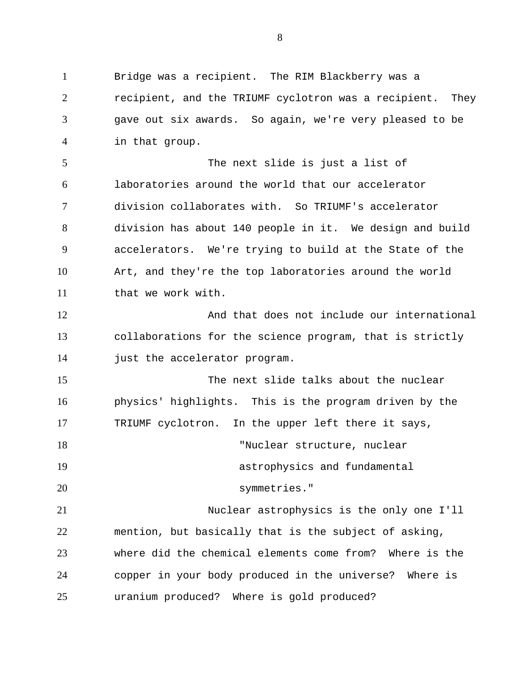Bridge was a recipient. The RIM Blackberry was a recipient, and the TRIUMF cyclotron was a recipient. They gave out six awards. So again, we're very pleased to be in that group. The next slide is just a list of laboratories around the world that our accelerator division collaborates with. So TRIUMF's accelerator division has about 140 people in it. We design and build accelerators. We're trying to build at the State of the Art, and they're the top laboratories around the world that we work with. And that does not include our international collaborations for the science program, that is strictly just the accelerator program. The next slide talks about the nuclear physics' highlights. This is the program driven by the TRIUMF cyclotron. In the upper left there it says, "Nuclear structure, nuclear astrophysics and fundamental symmetries." Nuclear astrophysics is the only one I'll mention, but basically that is the subject of asking, where did the chemical elements come from? Where is the copper in your body produced in the universe? Where is uranium produced? Where is gold produced? 1 2 3 4 5 6 7 8 9 10 11 12 13 14 15 16 17 18 19 20 21 22 23 24 25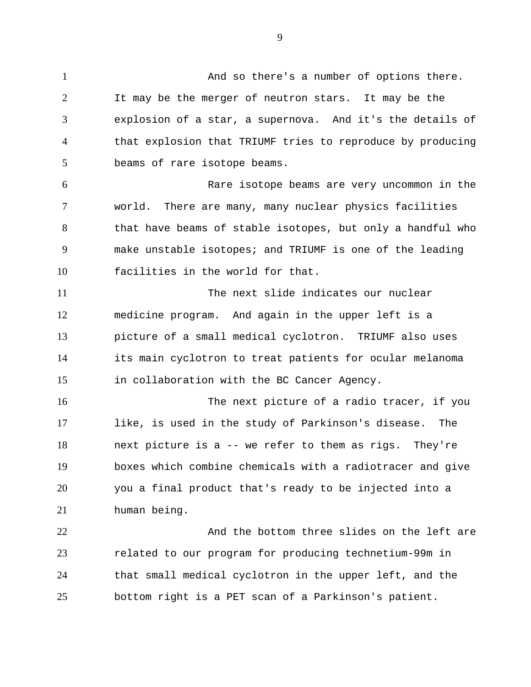9

And so there's a number of options there. It may be the merger of neutron stars. It may be the explosion of a star, a supernova. And it's the details of that explosion that TRIUMF tries to reproduce by producing beams of rare isotope beams. Rare isotope beams are very uncommon in the world. There are many, many nuclear physics facilities that have beams of stable isotopes, but only a handful who make unstable isotopes; and TRIUMF is one of the leading facilities in the world for that. The next slide indicates our nuclear medicine program. And again in the upper left is a picture of a small medical cyclotron. TRIUMF also uses its main cyclotron to treat patients for ocular melanoma in collaboration with the BC Cancer Agency. The next picture of a radio tracer, if you like, is used in the study of Parkinson's disease. The next picture is a -- we refer to them as rigs. They're boxes which combine chemicals with a radiotracer and give you a final product that's ready to be injected into a human being. And the bottom three slides on the left are related to our program for producing technetium-99m in that small medical cyclotron in the upper left, and the bottom right is a PET scan of a Parkinson's patient. 1 2 3 4 5 6 7 8 9 10 11 12 13 14 15 16 17 18 19 20 21 22 23 24 25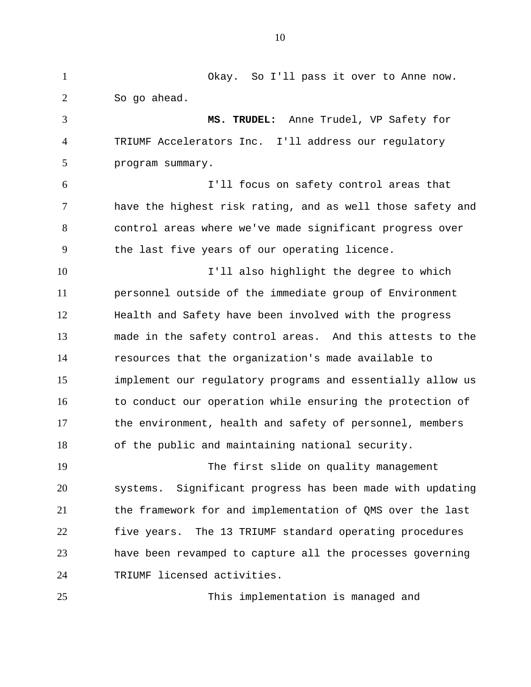Okay. So I'll pass it over to Anne now. So go ahead. **MS. TRUDEL:** Anne Trudel, VP Safety for TRIUMF Accelerators Inc. I'll address our regulatory program summary. I'll focus on safety control areas that have the highest risk rating, and as well those safety and control areas where we've made significant progress over the last five years of our operating licence. I'll also highlight the degree to which personnel outside of the immediate group of Environment Health and Safety have been involved with the progress made in the safety control areas. And this attests to the resources that the organization's made available to implement our regulatory programs and essentially allow us to conduct our operation while ensuring the protection of the environment, health and safety of personnel, members of the public and maintaining national security. The first slide on quality management systems. Significant progress has been made with updating the framework for and implementation of QMS over the last five years. The 13 TRIUMF standard operating procedures have been revamped to capture all the processes governing TRIUMF licensed activities. This implementation is managed and 1 2 3 4 5 6 7 8 9 10 11 12 13 14 15 16 17 18 19 20 21 22 23 24 25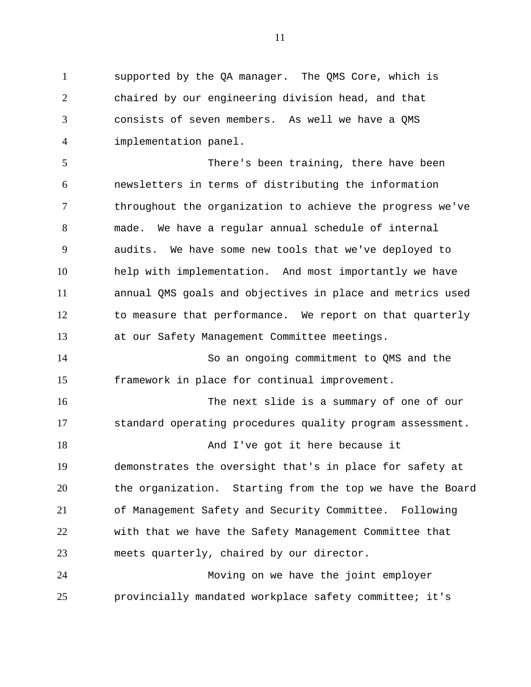supported by the QA manager. The QMS Core, which is chaired by our engineering division head, and that consists of seven members. As well we have a QMS implementation panel. 1 2 3 4

There's been training, there have been newsletters in terms of distributing the information throughout the organization to achieve the progress we've made. We have a regular annual schedule of internal audits. We have some new tools that we've deployed to help with implementation. And most importantly we have annual QMS goals and objectives in place and metrics used to measure that performance. We report on that quarterly at our Safety Management Committee meetings. 5 6 7 8 9 10 11 12 13

So an ongoing commitment to QMS and the framework in place for continual improvement. 14 15

The next slide is a summary of one of our standard operating procedures quality program assessment. And I've got it here because it demonstrates the oversight that's in place for safety at the organization. Starting from the top we have the Board of Management Safety and Security Committee. Following with that we have the Safety Management Committee that meets quarterly, chaired by our director. 16 17 18 19 20 21 22 23

Moving on we have the joint employer provincially mandated workplace safety committee; it's 24 25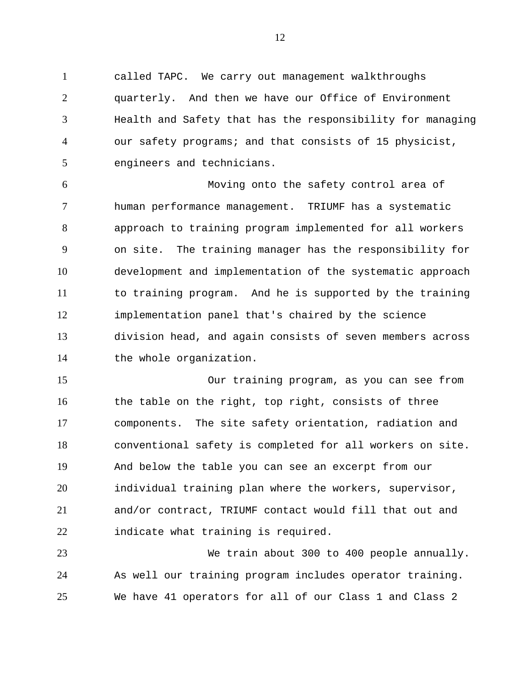called TAPC. We carry out management walkthroughs quarterly. And then we have our Office of Environment Health and Safety that has the responsibility for managing our safety programs; and that consists of 15 physicist, engineers and technicians. 1 2 3 4 5

Moving onto the safety control area of human performance management. TRIUMF has a systematic approach to training program implemented for all workers on site. The training manager has the responsibility for development and implementation of the systematic approach to training program. And he is supported by the training implementation panel that's chaired by the science division head, and again consists of seven members across the whole organization. 6 7 8 9 10 11 12 13 14

Our training program, as you can see from the table on the right, top right, consists of three components. The site safety orientation, radiation and conventional safety is completed for all workers on site. And below the table you can see an excerpt from our individual training plan where the workers, supervisor, and/or contract, TRIUMF contact would fill that out and indicate what training is required. 15 16 17 18 19 20 21 22

We train about 300 to 400 people annually. As well our training program includes operator training. We have 41 operators for all of our Class 1 and Class 2 23 24 25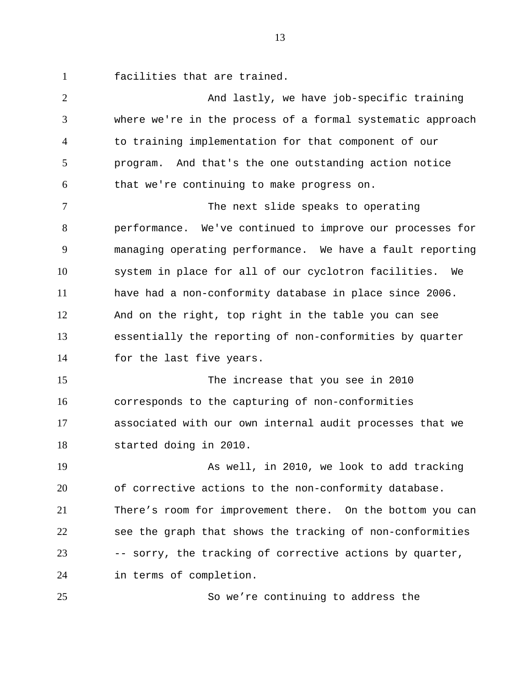facilities that are trained. 1

And lastly, we have job-specific training where we're in the process of a formal systematic approach to training implementation for that component of our program. And that's the one outstanding action notice that we're continuing to make progress on. The next slide speaks to operating performance. We've continued to improve our processes for managing operating performance. We have a fault reporting system in place for all of our cyclotron facilities. We have had a non-conformity database in place since 2006. And on the right, top right in the table you can see essentially the reporting of non-conformities by quarter for the last five years. The increase that you see in 2010 corresponds to the capturing of non-conformities associated with our own internal audit processes that we started doing in 2010. As well, in 2010, we look to add tracking of corrective actions to the non-conformity database. There's room for improvement there. On the bottom you can see the graph that shows the tracking of non-conformities -- sorry, the tracking of corrective actions by quarter, in terms of completion. 2 3 4 5 6 7 8 9 10 11 12 13 14 15 16 17 18 19 20 21 22 23 24 25

So we're continuing to address the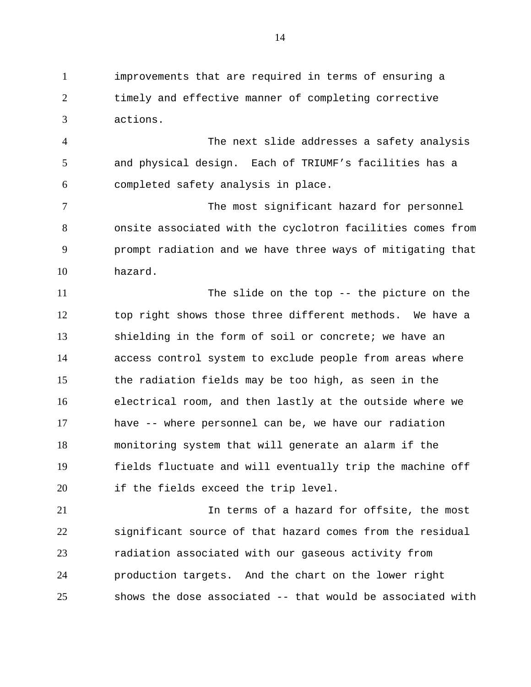improvements that are required in terms of ensuring a timely and effective manner of completing corrective actions. 1 2 3

The next slide addresses a safety analysis and physical design. Each of TRIUMF's facilities has a completed safety analysis in place. 4 5 6

The most significant hazard for personnel onsite associated with the cyclotron facilities comes from prompt radiation and we have three ways of mitigating that hazard. 7 8 9 10

The slide on the top -- the picture on the top right shows those three different methods. We have a shielding in the form of soil or concrete; we have an access control system to exclude people from areas where the radiation fields may be too high, as seen in the electrical room, and then lastly at the outside where we have -- where personnel can be, we have our radiation monitoring system that will generate an alarm if the fields fluctuate and will eventually trip the machine off if the fields exceed the trip level. 11 12 13 14 15 16 17 18 19 20

In terms of a hazard for offsite, the most significant source of that hazard comes from the residual radiation associated with our gaseous activity from production targets. And the chart on the lower right shows the dose associated -- that would be associated with 21 22 23 24 25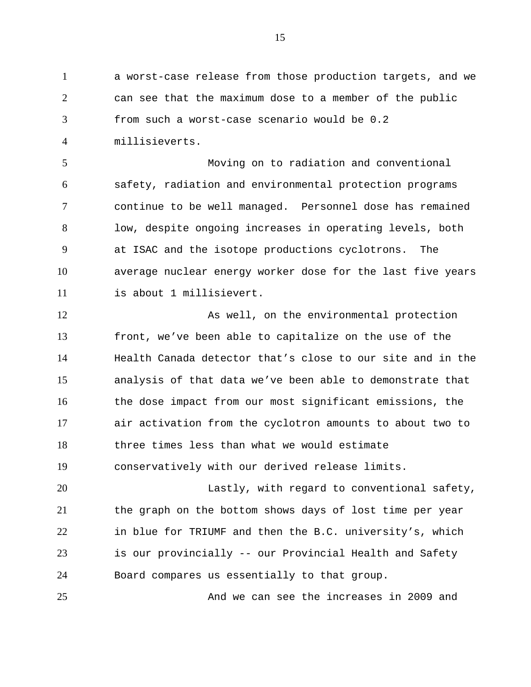a worst-case release from those production targets, and we can see that the maximum dose to a member of the public from such a worst-case scenario would be 0.2 millisieverts. 1 2 3 4

Moving on to radiation and conventional safety, radiation and environmental protection programs continue to be well managed. Personnel dose has remained low, despite ongoing increases in operating levels, both at ISAC and the isotope productions cyclotrons. The average nuclear energy worker dose for the last five years is about 1 millisievert. 5 6 7 8 9 10 11

As well, on the environmental protection front, we've been able to capitalize on the use of the Health Canada detector that's close to our site and in the analysis of that data we've been able to demonstrate that the dose impact from our most significant emissions, the air activation from the cyclotron amounts to about two to three times less than what we would estimate conservatively with our derived release limits. 12 13 14 15 16 17 18 19

Lastly, with regard to conventional safety, the graph on the bottom shows days of lost time per year in blue for TRIUMF and then the B.C. university's, which is our provincially -- our Provincial Health and Safety Board compares us essentially to that group. 20 21 22 23 24

And we can see the increases in 2009 and

25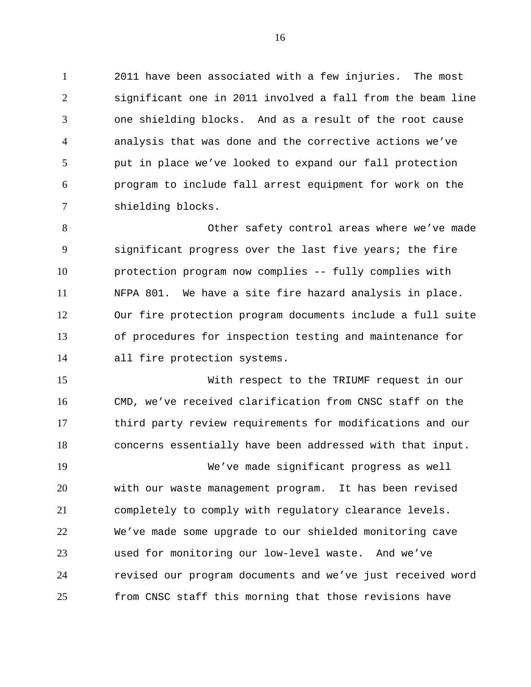2011 have been associated with a few injuries. The most significant one in 2011 involved a fall from the beam line one shielding blocks. And as a result of the root cause analysis that was done and the corrective actions we've put in place we've looked to expand our fall protection program to include fall arrest equipment for work on the shielding blocks. 1 2 3 4 5 6 7

Other safety control areas where we've made significant progress over the last five years; the fire protection program now complies -- fully complies with NFPA 801. We have a site fire hazard analysis in place. Our fire protection program documents include a full suite of procedures for inspection testing and maintenance for all fire protection systems. 8 9 10 11 12 13 14

With respect to the TRIUMF request in our CMD, we've received clarification from CNSC staff on the third party review requirements for modifications and our concerns essentially have been addressed with that input. 15 16 17 18

We've made significant progress as well with our waste management program. It has been revised completely to comply with regulatory clearance levels. We've made some upgrade to our shielded monitoring cave used for monitoring our low-level waste. And we've revised our program documents and we've just received word from CNSC staff this morning that those revisions have 19 20 21 22 23 24 25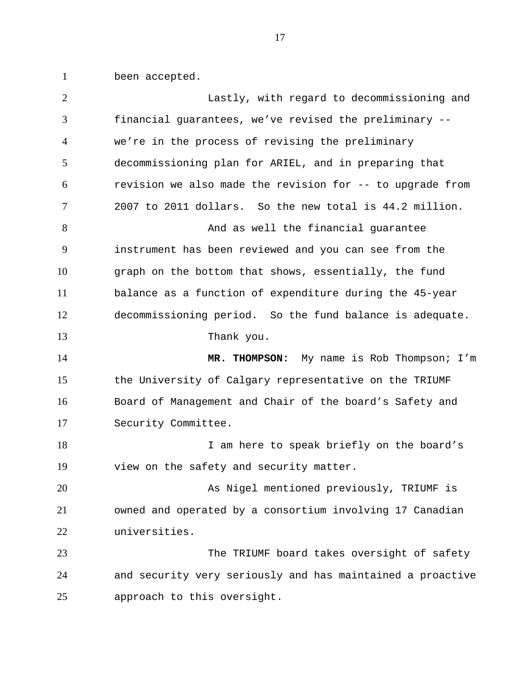been accepted. 1

| $\overline{2}$ | Lastly, with regard to decommissioning and                 |
|----------------|------------------------------------------------------------|
| 3              | financial guarantees, we've revised the preliminary --     |
| $\overline{4}$ | we're in the process of revising the preliminary           |
| 5              | decommissioning plan for ARIEL, and in preparing that      |
| 6              | revision we also made the revision for -- to upgrade from  |
| 7              | 2007 to 2011 dollars. So the new total is 44.2 million.    |
| 8              | And as well the financial guarantee                        |
| 9              | instrument has been reviewed and you can see from the      |
| 10             | graph on the bottom that shows, essentially, the fund      |
| 11             | balance as a function of expenditure during the 45-year    |
| 12             | decommissioning period. So the fund balance is adequate.   |
| 13             | Thank you.                                                 |
|                |                                                            |
| 14             | MR. THOMPSON: My name is Rob Thompson; I'm                 |
| 15             | the University of Calgary representative on the TRIUMF     |
| 16             | Board of Management and Chair of the board's Safety and    |
| 17             | Security Committee.                                        |
| 18             | I am here to speak briefly on the board's                  |
| 19             | view on the safety and security matter.                    |
| 20             | As Nigel mentioned previously, TRIUMF is                   |
| 21             | owned and operated by a consortium involving 17 Canadian   |
| 22             | universities.                                              |
| 23             | The TRIUMF board takes oversight of safety                 |
| 24             | and security very seriously and has maintained a proactive |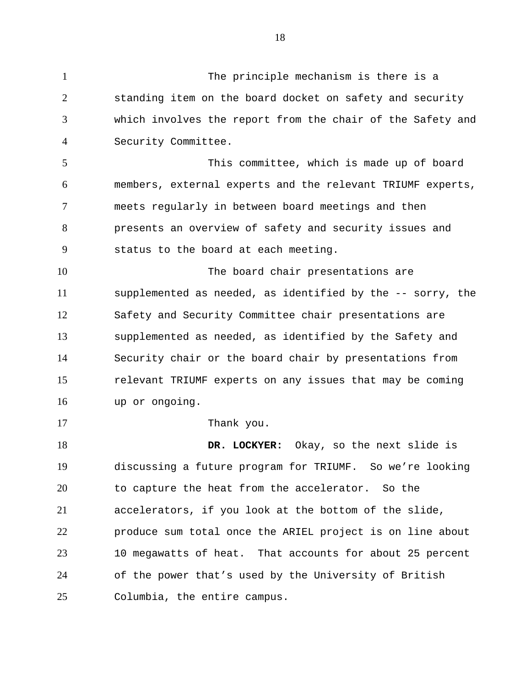The principle mechanism is there is a

standing item on the board docket on safety and security which involves the report from the chair of the Safety and Security Committee. 2 3 4

1

17

This committee, which is made up of board members, external experts and the relevant TRIUMF experts, meets regularly in between board meetings and then presents an overview of safety and security issues and status to the board at each meeting. 5 6 7 8 9

The board chair presentations are supplemented as needed, as identified by the -- sorry, the Safety and Security Committee chair presentations are supplemented as needed, as identified by the Safety and Security chair or the board chair by presentations from relevant TRIUMF experts on any issues that may be coming up or ongoing. 10 11 12 13 14 15 16

Thank you.

**DR. LOCKYER:** Okay, so the next slide is discussing a future program for TRIUMF. So we're looking to capture the heat from the accelerator. So the accelerators, if you look at the bottom of the slide, produce sum total once the ARIEL project is on line about 10 megawatts of heat. That accounts for about 25 percent of the power that's used by the University of British Columbia, the entire campus. 18 19 20 21 22 23 24 25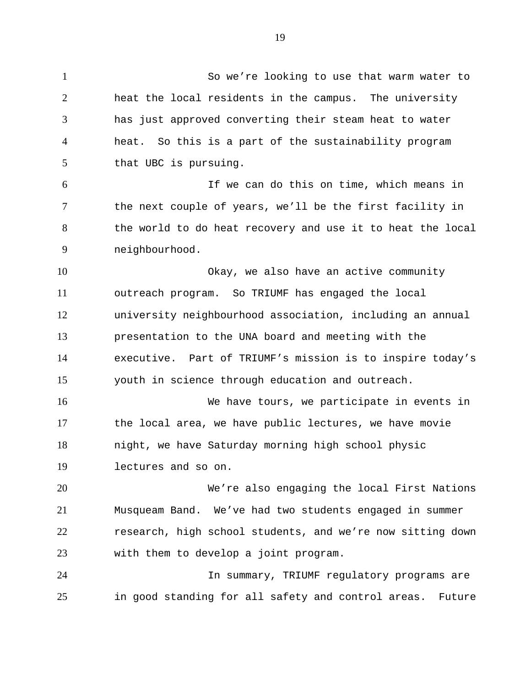So we're looking to use that warm water to heat the local residents in the campus. The university has just approved converting their steam heat to water heat. So this is a part of the sustainability program that UBC is pursuing. If we can do this on time, which means in the next couple of years, we'll be the first facility in 1 2 3 4 5 6 7

the world to do heat recovery and use it to heat the local neighbourhood. 8 9

Okay, we also have an active community outreach program. So TRIUMF has engaged the local university neighbourhood association, including an annual presentation to the UNA board and meeting with the executive. Part of TRIUMF's mission is to inspire today's youth in science through education and outreach. 10 11 12 13 14 15

We have tours, we participate in events in the local area, we have public lectures, we have movie night, we have Saturday morning high school physic lectures and so on. 16 17 18 19

We're also engaging the local First Nations Musqueam Band. We've had two students engaged in summer research, high school students, and we're now sitting down with them to develop a joint program. 20 21 22 23

In summary, TRIUMF regulatory programs are in good standing for all safety and control areas. Future 24 25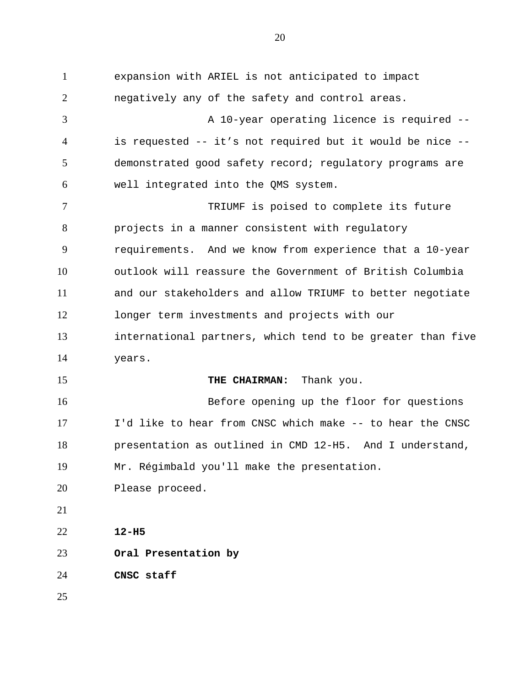expansion with ARIEL is not anticipated to impact negatively any of the safety and control areas. A 10-year operating licence is required - is requested -- it's not required but it would be nice - demonstrated good safety record; regulatory programs are well integrated into the QMS system. TRIUMF is poised to complete its future projects in a manner consistent with regulatory requirements. And we know from experience that a 10-year outlook will reassure the Government of British Columbia and our stakeholders and allow TRIUMF to better negotiate longer term investments and projects with our international partners, which tend to be greater than five years. **THE CHAIRMAN:** Thank you. Before opening up the floor for questions I'd like to hear from CNSC which make -- to hear the CNSC presentation as outlined in CMD 12-H5. And I understand, Mr. Régimbald you'll make the presentation. Please proceed. **12-H5 Oral Presentation by CNSC staff**  1 2 3 4 5 6 7 8 9 10 11 12 13 14 15 16 17 18 19 20 21 22 23 24 25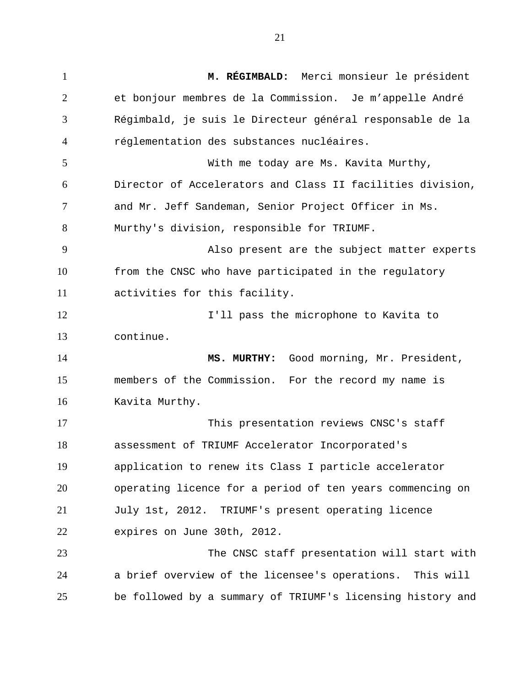**M. RÉGIMBALD:** Merci monsieur le président et bonjour membres de la Commission. Je m'appelle André Régimbald, je suis le Directeur général responsable de la réglementation des substances nucléaires. With me today are Ms. Kavita Murthy, Director of Accelerators and Class II facilities division, and Mr. Jeff Sandeman, Senior Project Officer in Ms. Murthy's division, responsible for TRIUMF. Also present are the subject matter experts from the CNSC who have participated in the regulatory activities for this facility. I'll pass the microphone to Kavita to continue. **MS. MURTHY:** Good morning, Mr. President, members of the Commission. For the record my name is Kavita Murthy. This presentation reviews CNSC's staff assessment of TRIUMF Accelerator Incorporated's application to renew its Class I particle accelerator operating licence for a period of ten years commencing on July 1st, 2012. TRIUMF's present operating licence expires on June 30th, 2012. The CNSC staff presentation will start with a brief overview of the licensee's operations. This will be followed by a summary of TRIUMF's licensing history and 1 2 3 4 5 6 7 8 9 10 11 12 13 14 15 16 17 18 19 20 21 22 23 24 25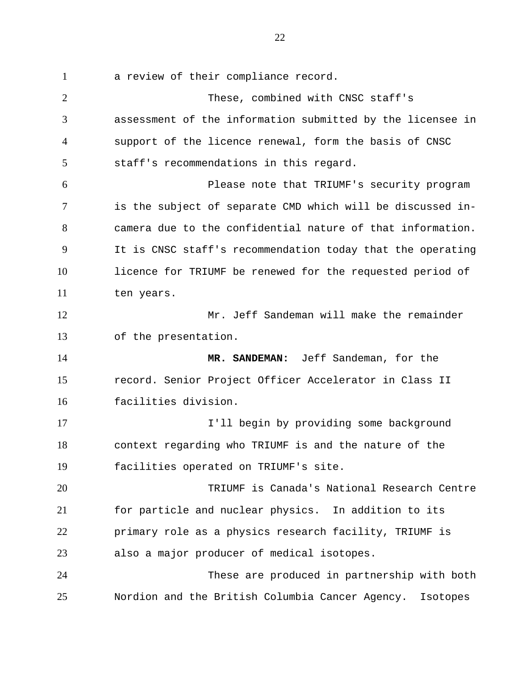a review of their compliance record. 1

These, combined with CNSC staff's assessment of the information submitted by the licensee in support of the licence renewal, form the basis of CNSC staff's recommendations in this regard. Please note that TRIUMF's security program is the subject of separate CMD which will be discussed incamera due to the confidential nature of that information. It is CNSC staff's recommendation today that the operating licence for TRIUMF be renewed for the requested period of ten years. Mr. Jeff Sandeman will make the remainder of the presentation. **MR. SANDEMAN:** Jeff Sandeman, for the record. Senior Project Officer Accelerator in Class II facilities division. I'll begin by providing some background context regarding who TRIUMF is and the nature of the facilities operated on TRIUMF's site. TRIUMF is Canada's National Research Centre for particle and nuclear physics. In addition to its primary role as a physics research facility, TRIUMF is also a major producer of medical isotopes. These are produced in partnership with both Nordion and the British Columbia Cancer Agency. Isotopes 2 3 4 5 6 7 8 9 10 11 12 13 14 15 16 17 18 19 20 21 22 23 24 25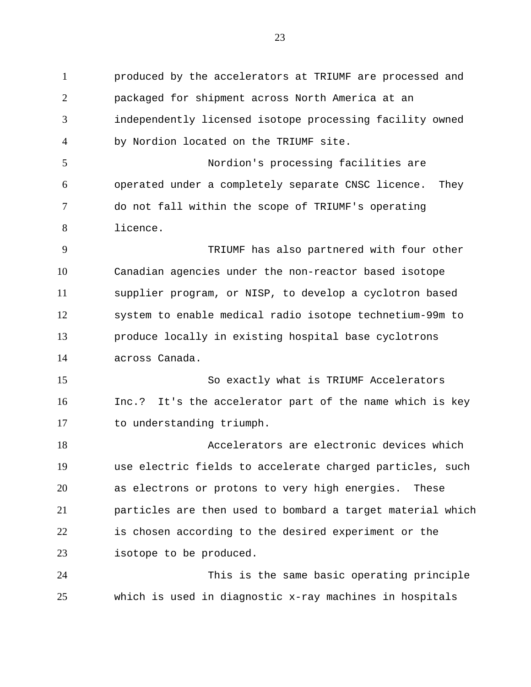produced by the accelerators at TRIUMF are processed and packaged for shipment across North America at an independently licensed isotope processing facility owned by Nordion located on the TRIUMF site. Nordion's processing facilities are operated under a completely separate CNSC licence. They do not fall within the scope of TRIUMF's operating licence. TRIUMF has also partnered with four other Canadian agencies under the non-reactor based isotope supplier program, or NISP, to develop a cyclotron based system to enable medical radio isotope technetium-99m to produce locally in existing hospital base cyclotrons across Canada. So exactly what is TRIUMF Accelerators Inc.? It's the accelerator part of the name which is key to understanding triumph. Accelerators are electronic devices which use electric fields to accelerate charged particles, such as electrons or protons to very high energies. These particles are then used to bombard a target material which is chosen according to the desired experiment or the isotope to be produced. This is the same basic operating principle 1 2 3 4 5 6 7 8 9 10 11 12 13 14 15 16 17 18 19 20 21 22 23 24

which is used in diagnostic x-ray machines in hospitals

25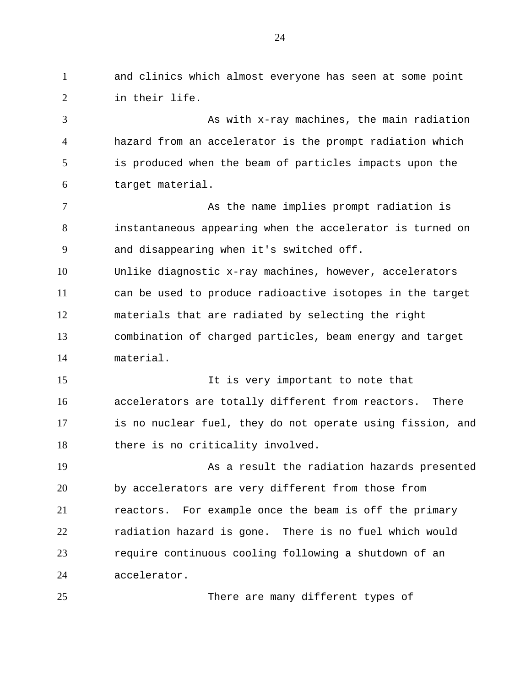and clinics which almost everyone has seen at some point in their life. 1 2

As with x-ray machines, the main radiation hazard from an accelerator is the prompt radiation which is produced when the beam of particles impacts upon the target material. 3 4 5 6

As the name implies prompt radiation is instantaneous appearing when the accelerator is turned on and disappearing when it's switched off. 7 8 9

Unlike diagnostic x-ray machines, however, accelerators can be used to produce radioactive isotopes in the target materials that are radiated by selecting the right combination of charged particles, beam energy and target material. 10 11 12 13 14

It is very important to note that accelerators are totally different from reactors. There is no nuclear fuel, they do not operate using fission, and there is no criticality involved. 15 16 17 18

As a result the radiation hazards presented by accelerators are very different from those from reactors. For example once the beam is off the primary radiation hazard is gone. There is no fuel which would require continuous cooling following a shutdown of an accelerator. 19 20 21 22 23 24

25

There are many different types of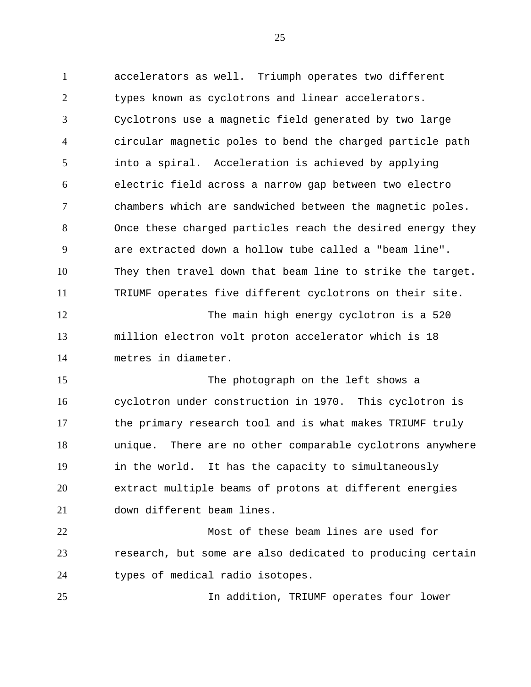accelerators as well. Triumph operates two different types known as cyclotrons and linear accelerators. Cyclotrons use a magnetic field generated by two large circular magnetic poles to bend the charged particle path into a spiral. Acceleration is achieved by applying electric field across a narrow gap between two electro chambers which are sandwiched between the magnetic poles. Once these charged particles reach the desired energy they are extracted down a hollow tube called a "beam line". They then travel down that beam line to strike the target. TRIUMF operates five different cyclotrons on their site. The main high energy cyclotron is a 520 million electron volt proton accelerator which is 18 metres in diameter. The photograph on the left shows a cyclotron under construction in 1970. This cyclotron is the primary research tool and is what makes TRIUMF truly unique. There are no other comparable cyclotrons anywhere in the world. It has the capacity to simultaneously extract multiple beams of protons at different energies down different beam lines. Most of these beam lines are used for research, but some are also dedicated to producing certain types of medical radio isotopes. 1 2 3 4 5 6 7 8 9 10 11 12 13 14 15 16 17 18 19 20 21 22 23 24

In addition, TRIUMF operates four lower

25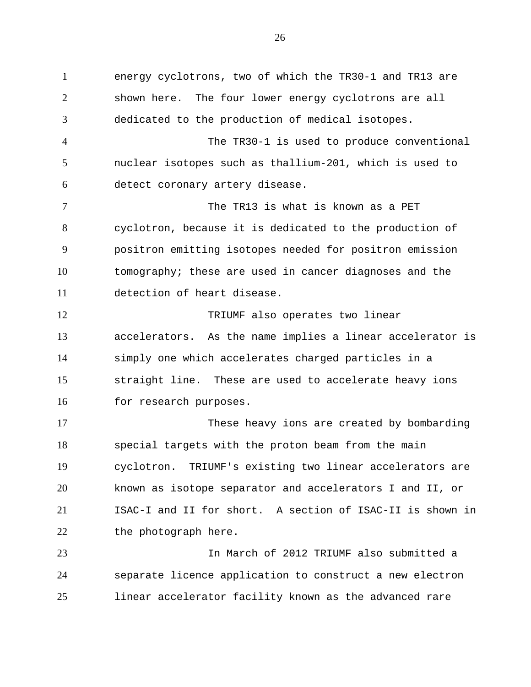energy cyclotrons, two of which the TR30-1 and TR13 are shown here. The four lower energy cyclotrons are all dedicated to the production of medical isotopes. The TR30-1 is used to produce conventional nuclear isotopes such as thallium-201, which is used to detect coronary artery disease. The TR13 is what is known as a PET cyclotron, because it is dedicated to the production of positron emitting isotopes needed for positron emission tomography; these are used in cancer diagnoses and the detection of heart disease. TRIUMF also operates two linear accelerators. As the name implies a linear accelerator is simply one which accelerates charged particles in a straight line. These are used to accelerate heavy ions for research purposes. These heavy ions are created by bombarding special targets with the proton beam from the main cyclotron. TRIUMF's existing two linear accelerators are known as isotope separator and accelerators I and II, or ISAC-I and II for short. A section of ISAC-II is shown in the photograph here. In March of 2012 TRIUMF also submitted a 1 2 3 4 5 6 7 8 9 10 11 12 13 14 15 16 17 18 19 20 21 22 23

linear accelerator facility known as the advanced rare 25

24

separate licence application to construct a new electron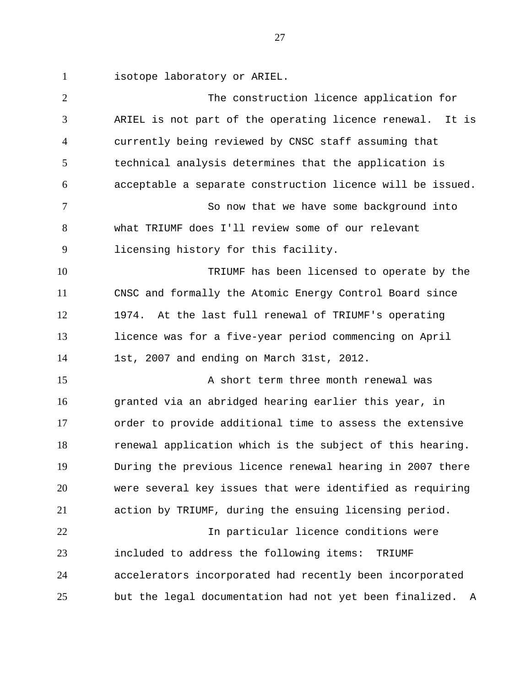isotope laboratory or ARIEL. 1

The construction licence application for ARIEL is not part of the operating licence renewal. It is currently being reviewed by CNSC staff assuming that technical analysis determines that the application is acceptable a separate construction licence will be issued. So now that we have some background into what TRIUMF does I'll review some of our relevant licensing history for this facility. TRIUMF has been licensed to operate by the CNSC and formally the Atomic Energy Control Board since 1974. At the last full renewal of TRIUMF's operating licence was for a five-year period commencing on April 1st, 2007 and ending on March 31st, 2012. A short term three month renewal was granted via an abridged hearing earlier this year, in order to provide additional time to assess the extensive renewal application which is the subject of this hearing. During the previous licence renewal hearing in 2007 there were several key issues that were identified as requiring action by TRIUMF, during the ensuing licensing period. In particular licence conditions were included to address the following items: TRIUMF accelerators incorporated had recently been incorporated but the legal documentation had not yet been finalized. A 2 3 4 5 6 7 8 9 10 11 12 13 14 15 16 17 18 19 20 21 22 23 24 25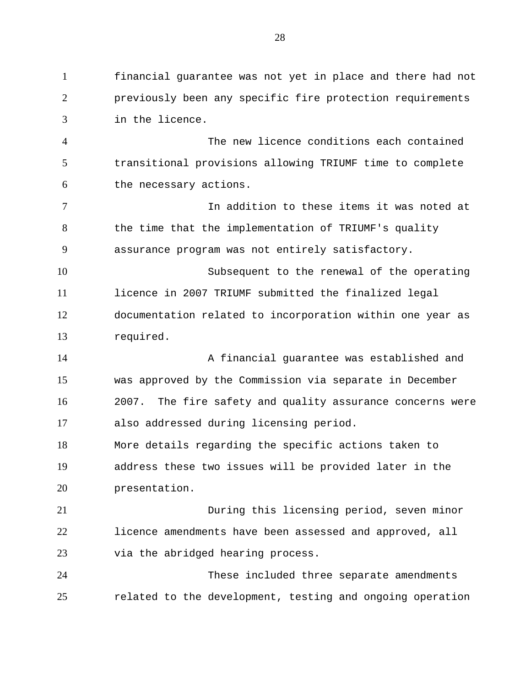financial guarantee was not yet in place and there had not previously been any specific fire protection requirements in the licence. 1 2 3

The new licence conditions each contained transitional provisions allowing TRIUMF time to complete the necessary actions. 4 5 6

In addition to these items it was noted at the time that the implementation of TRIUMF's quality assurance program was not entirely satisfactory. 7 8 9

Subsequent to the renewal of the operating licence in 2007 TRIUMF submitted the finalized legal documentation related to incorporation within one year as required. 10 11 12 13

A financial guarantee was established and was approved by the Commission via separate in December 2007. The fire safety and quality assurance concerns were also addressed during licensing period. 14 15 16 17

More details regarding the specific actions taken to address these two issues will be provided later in the presentation. 18 19 20

During this licensing period, seven minor licence amendments have been assessed and approved, all via the abridged hearing process. 21 22 23

These included three separate amendments related to the development, testing and ongoing operation 24 25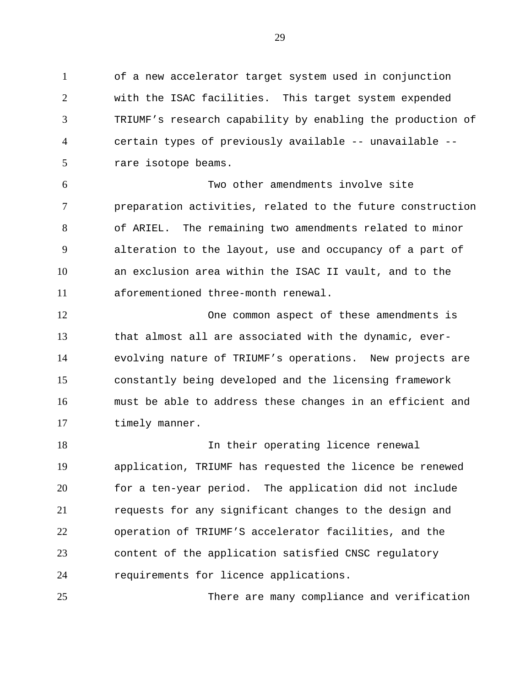of a new accelerator target system used in conjunction with the ISAC facilities. This target system expended TRIUMF's research capability by enabling the production of certain types of previously available -- unavailable - rare isotope beams. 1 2 3 4 5

Two other amendments involve site preparation activities, related to the future construction of ARIEL. The remaining two amendments related to minor alteration to the layout, use and occupancy of a part of an exclusion area within the ISAC II vault, and to the aforementioned three-month renewal. 6 7 8 9 10 11

One common aspect of these amendments is that almost all are associated with the dynamic, everevolving nature of TRIUMF's operations. New projects are constantly being developed and the licensing framework must be able to address these changes in an efficient and timely manner. 12 13 14 15 16 17

In their operating licence renewal application, TRIUMF has requested the licence be renewed for a ten-year period. The application did not include requests for any significant changes to the design and operation of TRIUMF'S accelerator facilities, and the content of the application satisfied CNSC regulatory requirements for licence applications. 18 19 20 21 22 23 24

There are many compliance and verification 25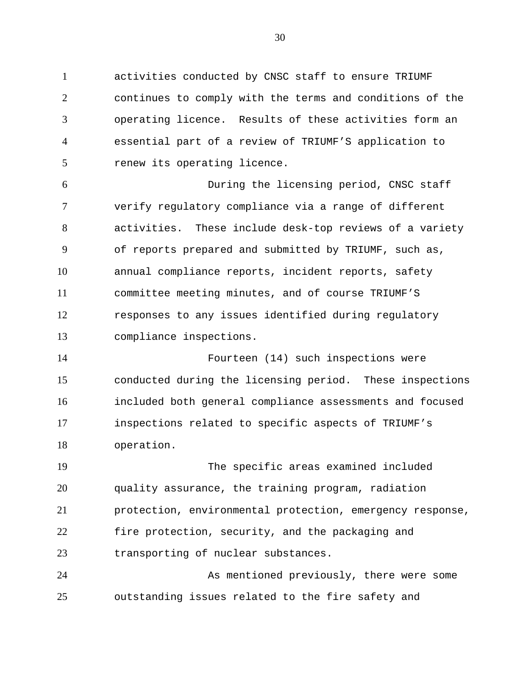activities conducted by CNSC staff to ensure TRIUMF continues to comply with the terms and conditions of the operating licence. Results of these activities form an essential part of a review of TRIUMF'S application to renew its operating licence. 1 2 3 4 5

During the licensing period, CNSC staff verify regulatory compliance via a range of different activities. These include desk-top reviews of a variety of reports prepared and submitted by TRIUMF, such as, annual compliance reports, incident reports, safety committee meeting minutes, and of course TRIUMF'S responses to any issues identified during regulatory compliance inspections. 6 7 8 9 10 11 12 13

Fourteen (14) such inspections were conducted during the licensing period. These inspections included both general compliance assessments and focused inspections related to specific aspects of TRIUMF's operation. 14 15 16 17 18

The specific areas examined included quality assurance, the training program, radiation protection, environmental protection, emergency response, fire protection, security, and the packaging and transporting of nuclear substances. 19 20 21 22 23

As mentioned previously, there were some outstanding issues related to the fire safety and 24 25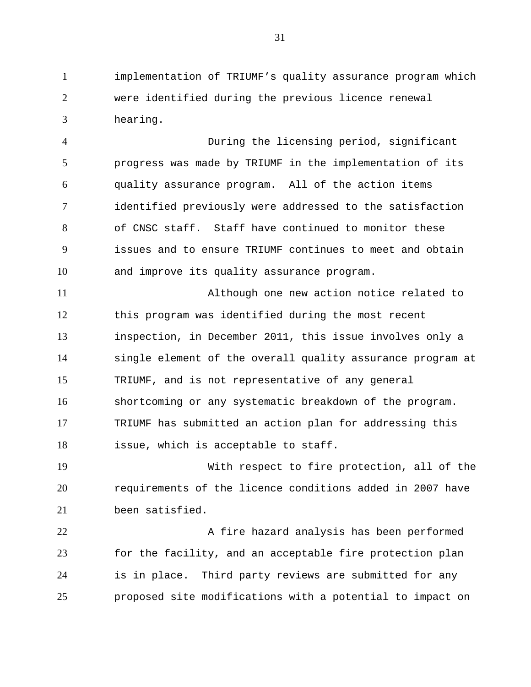implementation of TRIUMF's quality assurance program which were identified during the previous licence renewal hearing. 1 2 3

During the licensing period, significant progress was made by TRIUMF in the implementation of its quality assurance program. All of the action items identified previously were addressed to the satisfaction of CNSC staff. Staff have continued to monitor these issues and to ensure TRIUMF continues to meet and obtain and improve its quality assurance program. 4 5 6 7 8 9 10

Although one new action notice related to this program was identified during the most recent inspection, in December 2011, this issue involves only a single element of the overall quality assurance program at TRIUMF, and is not representative of any general shortcoming or any systematic breakdown of the program. TRIUMF has submitted an action plan for addressing this issue, which is acceptable to staff. 11 12 13 14 15 16 17 18

With respect to fire protection, all of the requirements of the licence conditions added in 2007 have been satisfied. 19 20 21

A fire hazard analysis has been performed for the facility, and an acceptable fire protection plan is in place. Third party reviews are submitted for any proposed site modifications with a potential to impact on 22 23 24 25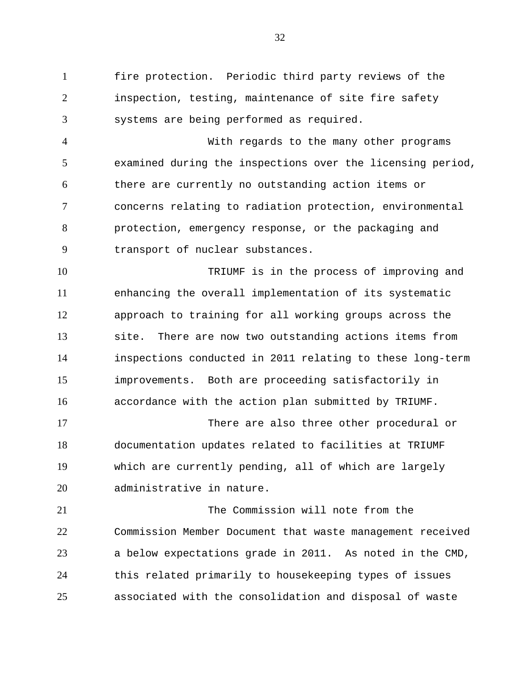fire protection. Periodic third party reviews of the inspection, testing, maintenance of site fire safety systems are being performed as required. 1 2 3

With regards to the many other programs examined during the inspections over the licensing period, there are currently no outstanding action items or concerns relating to radiation protection, environmental protection, emergency response, or the packaging and transport of nuclear substances. 4 5 6 7 8 9

TRIUMF is in the process of improving and enhancing the overall implementation of its systematic approach to training for all working groups across the site. There are now two outstanding actions items from inspections conducted in 2011 relating to these long-term improvements. Both are proceeding satisfactorily in accordance with the action plan submitted by TRIUMF. 10 11 12 13 14 15 16

There are also three other procedural or documentation updates related to facilities at TRIUMF which are currently pending, all of which are largely administrative in nature. 17 18 19 20

The Commission will note from the Commission Member Document that waste management received a below expectations grade in 2011. As noted in the CMD, this related primarily to housekeeping types of issues associated with the consolidation and disposal of waste 21 22 23 24 25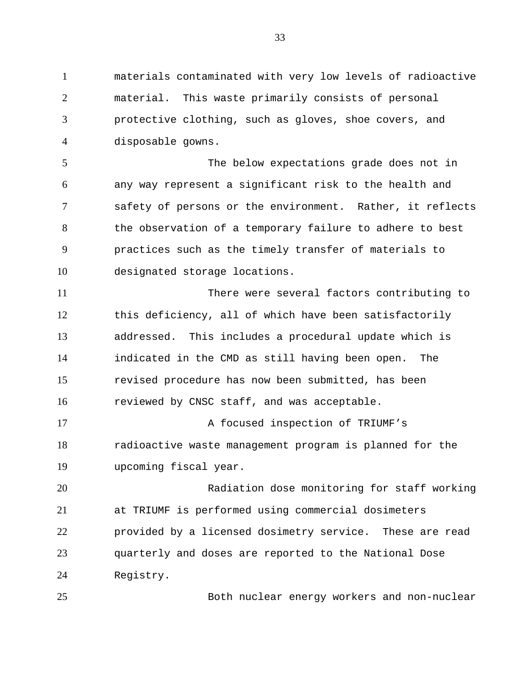materials contaminated with very low levels of radioactive material. This waste primarily consists of personal protective clothing, such as gloves, shoe covers, and disposable gowns. 1 2 3 4

The below expectations grade does not in any way represent a significant risk to the health and safety of persons or the environment. Rather, it reflects the observation of a temporary failure to adhere to best practices such as the timely transfer of materials to designated storage locations. 5 6 7 8 9 10

There were several factors contributing to this deficiency, all of which have been satisfactorily addressed. This includes a procedural update which is indicated in the CMD as still having been open. The revised procedure has now been submitted, has been reviewed by CNSC staff, and was acceptable. 11 12 13 14 15 16

A focused inspection of TRIUMF's radioactive waste management program is planned for the upcoming fiscal year. 17 18 19

Radiation dose monitoring for staff working at TRIUMF is performed using commercial dosimeters provided by a licensed dosimetry service. These are read quarterly and doses are reported to the National Dose Registry. 20 21 22 23 24

25

Both nuclear energy workers and non-nuclear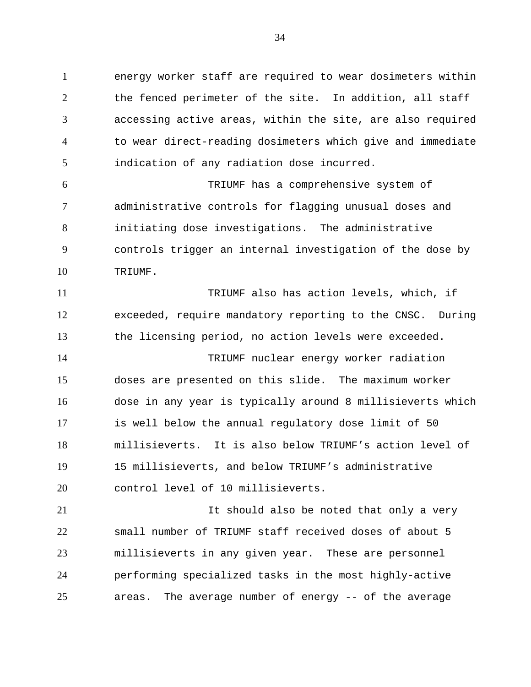energy worker staff are required to wear dosimeters within the fenced perimeter of the site. In addition, all staff accessing active areas, within the site, are also required to wear direct-reading dosimeters which give and immediate indication of any radiation dose incurred. 1 2 3 4 5

TRIUMF has a comprehensive system of administrative controls for flagging unusual doses and initiating dose investigations. The administrative controls trigger an internal investigation of the dose by TRIUMF. 6 7 8 9 10

TRIUMF also has action levels, which, if exceeded, require mandatory reporting to the CNSC. During the licensing period, no action levels were exceeded. TRIUMF nuclear energy worker radiation doses are presented on this slide. The maximum worker dose in any year is typically around 8 millisieverts which is well below the annual regulatory dose limit of 50 millisieverts. It is also below TRIUMF's action level of 15 millisieverts, and below TRIUMF's administrative control level of 10 millisieverts. 11 12 13 14 15 16 17 18 19 20

It should also be noted that only a very small number of TRIUMF staff received doses of about 5 millisieverts in any given year. These are personnel performing specialized tasks in the most highly-active areas. The average number of energy -- of the average 21 22 23 24 25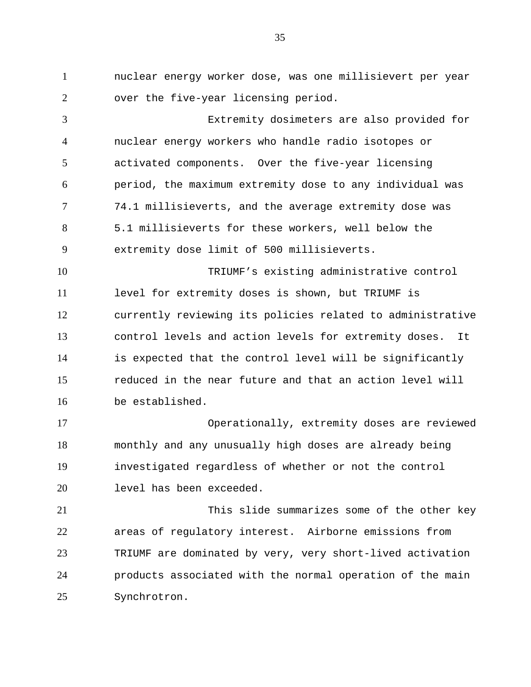nuclear energy worker dose, was one millisievert per year over the five-year licensing period. 1 2

Extremity dosimeters are also provided for nuclear energy workers who handle radio isotopes or activated components. Over the five-year licensing period, the maximum extremity dose to any individual was 74.1 millisieverts, and the average extremity dose was 5.1 millisieverts for these workers, well below the extremity dose limit of 500 millisieverts. 3 4 5 6 7 8 9

TRIUMF's existing administrative control level for extremity doses is shown, but TRIUMF is currently reviewing its policies related to administrative control levels and action levels for extremity doses. It is expected that the control level will be significantly reduced in the near future and that an action level will be established. 10 11 12 13 14 15 16

Operationally, extremity doses are reviewed monthly and any unusually high doses are already being investigated regardless of whether or not the control level has been exceeded. 17 18 19 20

This slide summarizes some of the other key areas of regulatory interest. Airborne emissions from TRIUMF are dominated by very, very short-lived activation products associated with the normal operation of the main Synchrotron. 21 22 23 24 25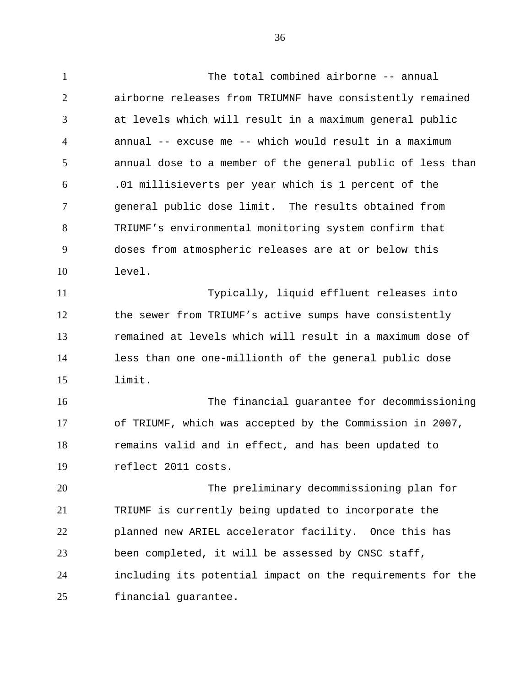The total combined airborne -- annual airborne releases from TRIUMNF have consistently remained at levels which will result in a maximum general public annual -- excuse me -- which would result in a maximum annual dose to a member of the general public of less than .01 millisieverts per year which is 1 percent of the general public dose limit. The results obtained from TRIUMF's environmental monitoring system confirm that doses from atmospheric releases are at or below this level. Typically, liquid effluent releases into the sewer from TRIUMF's active sumps have consistently remained at levels which will result in a maximum dose of less than one one-millionth of the general public dose limit. The financial guarantee for decommissioning of TRIUMF, which was accepted by the Commission in 2007, remains valid and in effect, and has been updated to reflect 2011 costs. The preliminary decommissioning plan for TRIUMF is currently being updated to incorporate the planned new ARIEL accelerator facility. Once this has been completed, it will be assessed by CNSC staff, including its potential impact on the requirements for the financial guarantee. 1 2 3 4 5 6 7 8 9 10 11 12 13 14 15 16 17 18 19 20 21 22 23 24 25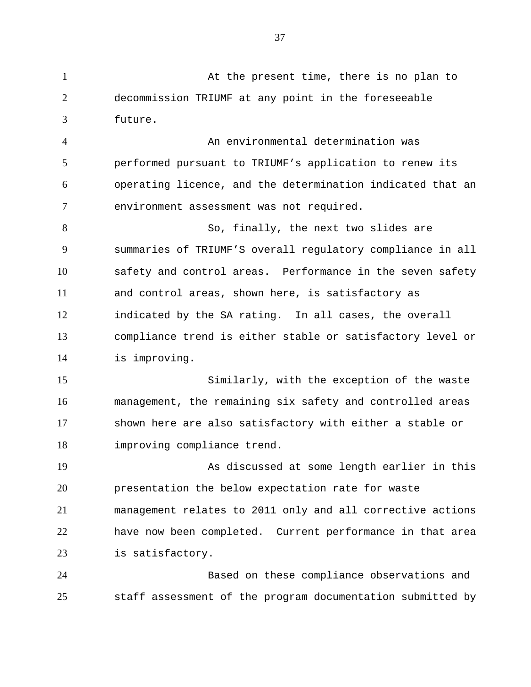At the present time, there is no plan to decommission TRIUMF at any point in the foreseeable future. 1 2 3

An environmental determination was performed pursuant to TRIUMF's application to renew its operating licence, and the determination indicated that an environment assessment was not required. 4 5 6 7

So, finally, the next two slides are summaries of TRIUMF'S overall regulatory compliance in all safety and control areas. Performance in the seven safety and control areas, shown here, is satisfactory as indicated by the SA rating. In all cases, the overall compliance trend is either stable or satisfactory level or is improving. 8 9 10 11 12 13 14

Similarly, with the exception of the waste management, the remaining six safety and controlled areas shown here are also satisfactory with either a stable or improving compliance trend. 15 16 17 18

As discussed at some length earlier in this presentation the below expectation rate for waste management relates to 2011 only and all corrective actions have now been completed. Current performance in that area is satisfactory. 19 20 21 22 23

Based on these compliance observations and staff assessment of the program documentation submitted by 24 25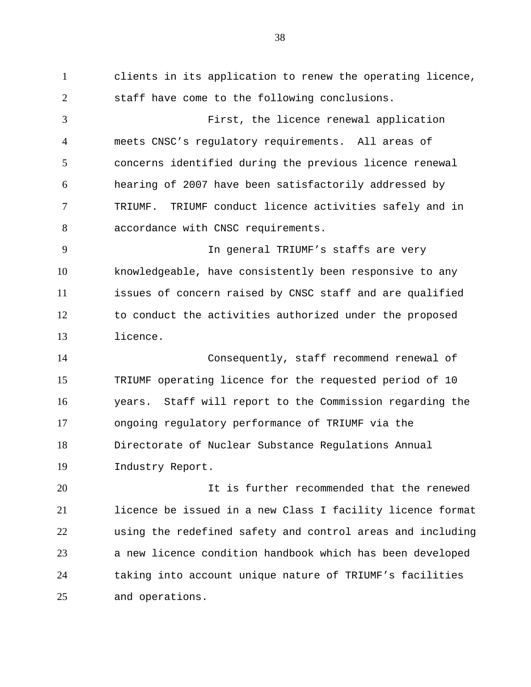clients in its application to renew the operating licence, staff have come to the following conclusions. First, the licence renewal application meets CNSC's regulatory requirements. All areas of concerns identified during the previous licence renewal hearing of 2007 have been satisfactorily addressed by TRIUMF. TRIUMF conduct licence activities safely and in accordance with CNSC requirements. In general TRIUMF's staffs are very knowledgeable, have consistently been responsive to any issues of concern raised by CNSC staff and are qualified to conduct the activities authorized under the proposed licence. Consequently, staff recommend renewal of TRIUMF operating licence for the requested period of 10 years. Staff will report to the Commission regarding the ongoing regulatory performance of TRIUMF via the Directorate of Nuclear Substance Regulations Annual Industry Report. It is further recommended that the renewed licence be issued in a new Class I facility licence format using the redefined safety and control areas and including 1 2 3 4 5 6 7 8 9 10 11 12 13 14 15 16 17 18 19 20 21 22

a new licence condition handbook which has been developed taking into account unique nature of TRIUMF's facilities and operations. 23 24 25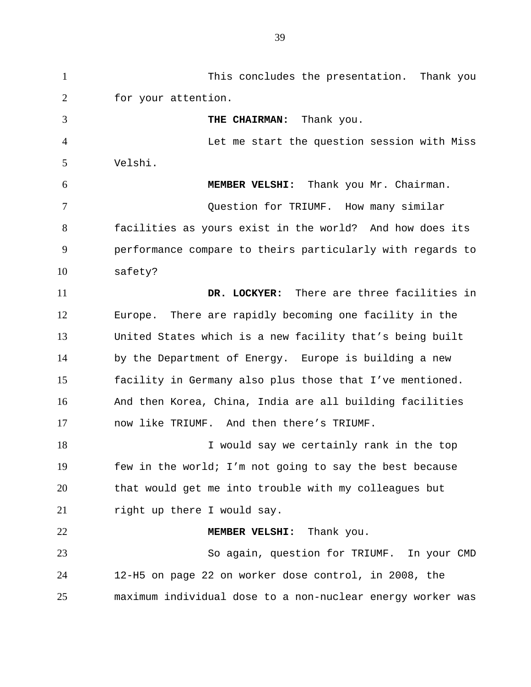This concludes the presentation. Thank you for your attention. **THE CHAIRMAN:** Thank you. Let me start the question session with Miss Velshi.  **MEMBER VELSHI:** Thank you Mr. Chairman. Question for TRIUMF. How many similar facilities as yours exist in the world? And how does its performance compare to theirs particularly with regards to safety? **DR. LOCKYER:** There are three facilities in Europe. There are rapidly becoming one facility in the United States which is a new facility that's being built by the Department of Energy. Europe is building a new facility in Germany also plus those that I've mentioned. And then Korea, China, India are all building facilities now like TRIUMF. And then there's TRIUMF. I would say we certainly rank in the top few in the world; I'm not going to say the best because that would get me into trouble with my colleagues but right up there I would say.  **MEMBER VELSHI:** Thank you. So again, question for TRIUMF. In your CMD 12-H5 on page 22 on worker dose control, in 2008, the maximum individual dose to a non-nuclear energy worker was 1 2 3 4 5 6 7 8 9 10 11 12 13 14 15 16 17 18 19 20 21 22 23 24 25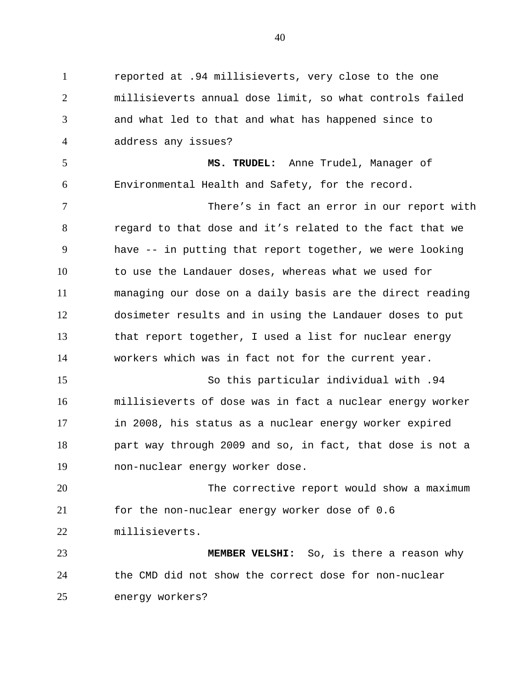reported at .94 millisieverts, very close to the one millisieverts annual dose limit, so what controls failed and what led to that and what has happened since to address any issues? **MS. TRUDEL:** Anne Trudel, Manager of Environmental Health and Safety, for the record. There's in fact an error in our report with regard to that dose and it's related to the fact that we have -- in putting that report together, we were looking to use the Landauer doses, whereas what we used for managing our dose on a daily basis are the direct reading dosimeter results and in using the Landauer doses to put that report together, I used a list for nuclear energy workers which was in fact not for the current year. So this particular individual with .94 millisieverts of dose was in fact a nuclear energy worker in 2008, his status as a nuclear energy worker expired part way through 2009 and so, in fact, that dose is not a non-nuclear energy worker dose. The corrective report would show a maximum for the non-nuclear energy worker dose of 0.6 millisieverts. **MEMBER VELSHI:** So, is there a reason why the CMD did not show the correct dose for non-nuclear energy workers? 1 2 3 4 5 6 7 8 9 10 11 12 13 14 15 16 17 18 19 20 21 22 23 24 25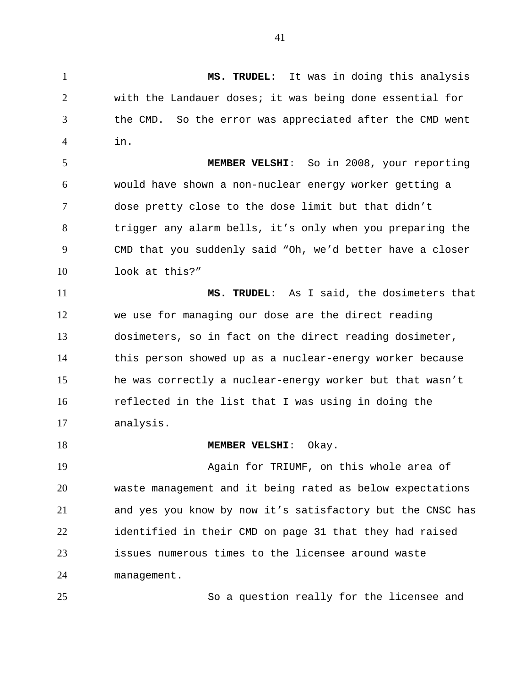**MS. TRUDEL**: It was in doing this analysis with the Landauer doses; it was being done essential for the CMD. So the error was appreciated after the CMD went in. 1 2 3 4

 **MEMBER VELSHI**: So in 2008, your reporting would have shown a non-nuclear energy worker getting a dose pretty close to the dose limit but that didn't trigger any alarm bells, it's only when you preparing the CMD that you suddenly said "Oh, we'd better have a closer look at this?" 5 6 7 8 9 10

 **MS. TRUDEL**: As I said, the dosimeters that we use for managing our dose are the direct reading dosimeters, so in fact on the direct reading dosimeter, this person showed up as a nuclear-energy worker because he was correctly a nuclear-energy worker but that wasn't reflected in the list that I was using in doing the analysis. 11 12 13 14 15 16 17

 **MEMBER VELSHI**: Okay.

Again for TRIUMF, on this whole area of waste management and it being rated as below expectations and yes you know by now it's satisfactory but the CNSC has identified in their CMD on page 31 that they had raised issues numerous times to the licensee around waste management. 19 20 21 22 23 24

25

18

So a question really for the licensee and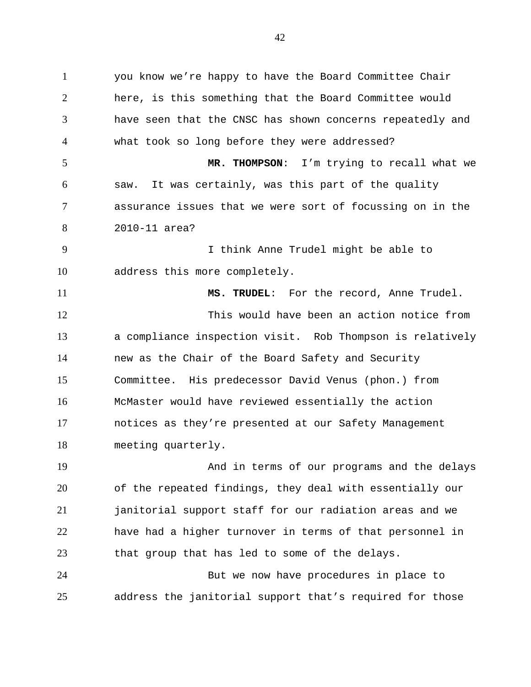you know we're happy to have the Board Committee Chair here, is this something that the Board Committee would have seen that the CNSC has shown concerns repeatedly and what took so long before they were addressed?  **MR. THOMPSON**: I'm trying to recall what we saw. It was certainly, was this part of the quality assurance issues that we were sort of focussing on in the 2010-11 area? I think Anne Trudel might be able to address this more completely.  **MS. TRUDEL**: For the record, Anne Trudel. This would have been an action notice from a compliance inspection visit. Rob Thompson is relatively new as the Chair of the Board Safety and Security Committee. His predecessor David Venus (phon.) from McMaster would have reviewed essentially the action notices as they're presented at our Safety Management meeting quarterly. And in terms of our programs and the delays of the repeated findings, they deal with essentially our janitorial support staff for our radiation areas and we 1 2 3 4 5 6 7 8 9 10 11 12 13 14 15 16 17 18 19 20 21

have had a higher turnover in terms of that personnel in that group that has led to some of the delays. 22 23

But we now have procedures in place to address the janitorial support that's required for those 24 25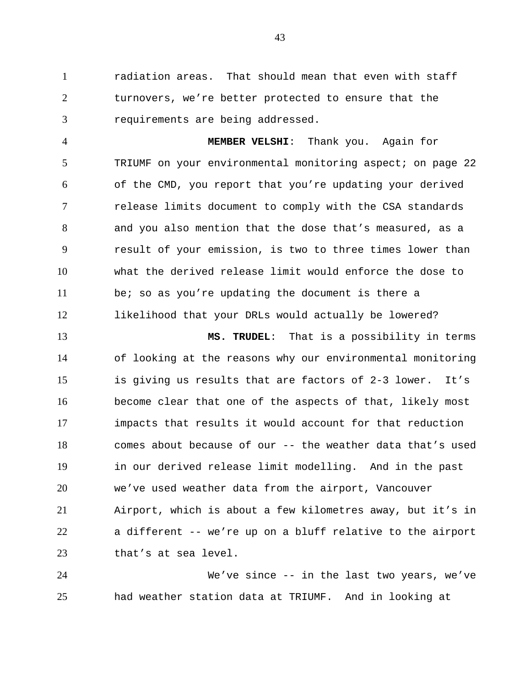radiation areas. That should mean that even with staff turnovers, we're better protected to ensure that the requirements are being addressed. 1 2 3

 **MEMBER VELSHI**: Thank you. Again for TRIUMF on your environmental monitoring aspect; on page 22 of the CMD, you report that you're updating your derived release limits document to comply with the CSA standards and you also mention that the dose that's measured, as a result of your emission, is two to three times lower than what the derived release limit would enforce the dose to be; so as you're updating the document is there a likelihood that your DRLs would actually be lowered? 4 5 6 7 8 9 10 11 12

 **MS. TRUDEL**: That is a possibility in terms of looking at the reasons why our environmental monitoring is giving us results that are factors of 2-3 lower. It's become clear that one of the aspects of that, likely most impacts that results it would account for that reduction comes about because of our -- the weather data that's used in our derived release limit modelling. And in the past we've used weather data from the airport, Vancouver Airport, which is about a few kilometres away, but it's in a different -- we're up on a bluff relative to the airport that's at sea level. 13 14 15 16 17 18 19 20 21 22 23

We've since -- in the last two years, we've had weather station data at TRIUMF. And in looking at 24 25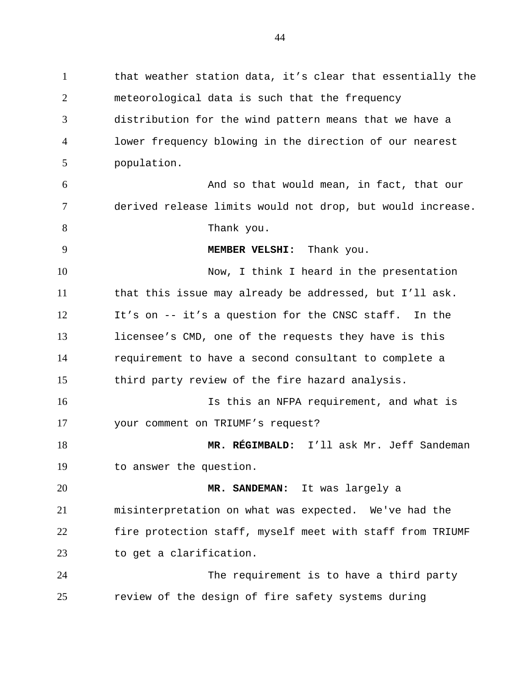that weather station data, it's clear that essentially the meteorological data is such that the frequency distribution for the wind pattern means that we have a lower frequency blowing in the direction of our nearest population. And so that would mean, in fact, that our derived release limits would not drop, but would increase. Thank you. **MEMBER VELSHI:** Thank you. Now, I think I heard in the presentation that this issue may already be addressed, but I'll ask. It's on -- it's a question for the CNSC staff. In the licensee's CMD, one of the requests they have is this requirement to have a second consultant to complete a third party review of the fire hazard analysis. Is this an NFPA requirement, and what is your comment on TRIUMF's request? **MR. RÉGIMBALD:** I'll ask Mr. Jeff Sandeman to answer the question. **MR. SANDEMAN:** It was largely a misinterpretation on what was expected. We've had the fire protection staff, myself meet with staff from TRIUMF to get a clarification. The requirement is to have a third party review of the design of fire safety systems during 1 2 3 4 5 6 7 8 9 10 11 12 13 14 15 16 17 18 19 20 21 22 23 24 25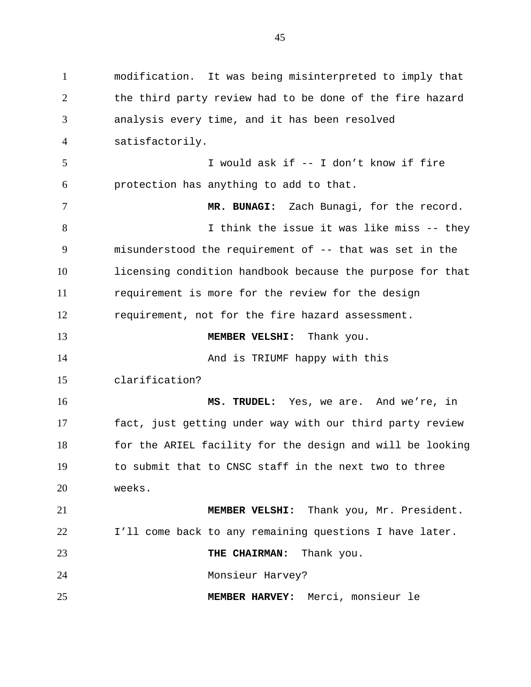modification. It was being misinterpreted to imply that the third party review had to be done of the fire hazard analysis every time, and it has been resolved satisfactorily. I would ask if -- I don't know if fire protection has anything to add to that. **MR. BUNAGI:** Zach Bunagi, for the record. I think the issue it was like miss -- they misunderstood the requirement of -- that was set in the licensing condition handbook because the purpose for that requirement is more for the review for the design requirement, not for the fire hazard assessment. **MEMBER VELSHI:** Thank you. And is TRIUMF happy with this clarification? **MS. TRUDEL:** Yes, we are. And we're, in fact, just getting under way with our third party review for the ARIEL facility for the design and will be looking to submit that to CNSC staff in the next two to three weeks. **MEMBER VELSHI:** Thank you, Mr. President. I'll come back to any remaining questions I have later. **THE CHAIRMAN:** Thank you. Monsieur Harvey? **MEMBER HARVEY:** Merci, monsieur le 1 2 3 4 5 6 7 8 9 10 11 12 13 14 15 16 17 18 19 20 21 22 23 24 25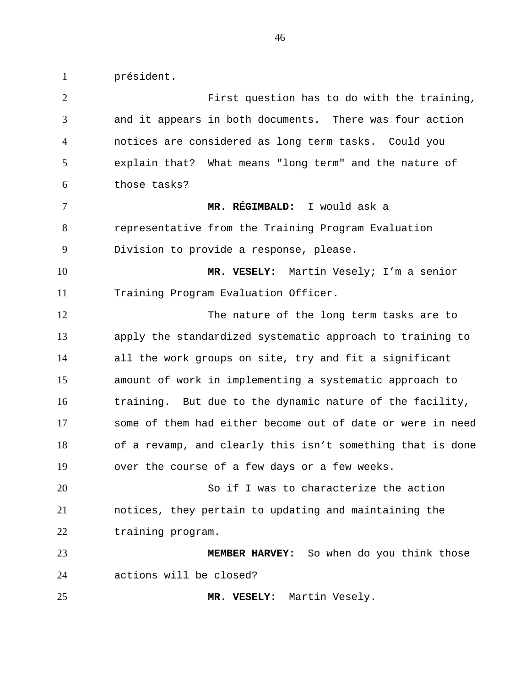président.

1

First question has to do with the training, and it appears in both documents. There was four action notices are considered as long term tasks. Could you explain that? What means "long term" and the nature of those tasks? **MR. RÉGIMBALD:** I would ask a representative from the Training Program Evaluation Division to provide a response, please. **MR. VESELY:** Martin Vesely; I'm a senior Training Program Evaluation Officer. The nature of the long term tasks are to apply the standardized systematic approach to training to all the work groups on site, try and fit a significant amount of work in implementing a systematic approach to training. But due to the dynamic nature of the facility, some of them had either become out of date or were in need of a revamp, and clearly this isn't something that is done over the course of a few days or a few weeks. So if I was to characterize the action notices, they pertain to updating and maintaining the training program. **MEMBER HARVEY:** So when do you think those actions will be closed? **MR. VESELY:** Martin Vesely. 2 3 4 5 6 7 8 9 10 11 12 13 14 15 16 17 18 19 20 21 22 23 24 25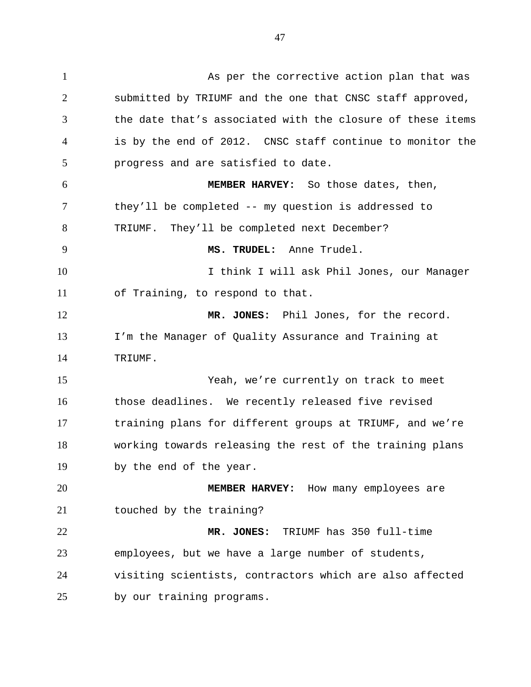47

As per the corrective action plan that was submitted by TRIUMF and the one that CNSC staff approved, the date that's associated with the closure of these items is by the end of 2012. CNSC staff continue to monitor the progress and are satisfied to date. **MEMBER HARVEY:** So those dates, then, they'll be completed -- my question is addressed to TRIUMF. They'll be completed next December? **MS. TRUDEL:** Anne Trudel. I think I will ask Phil Jones, our Manager of Training, to respond to that. **MR. JONES:** Phil Jones, for the record. I'm the Manager of Quality Assurance and Training at TRIUMF. Yeah, we're currently on track to meet those deadlines. We recently released five revised training plans for different groups at TRIUMF, and we're working towards releasing the rest of the training plans by the end of the year. **MEMBER HARVEY:** How many employees are touched by the training? **MR. JONES:** TRIUMF has 350 full-time employees, but we have a large number of students, visiting scientists, contractors which are also affected by our training programs. 1 2 3 4 5 6 7 8 9 10 11 12 13 14 15 16 17 18 19 20 21 22 23 24 25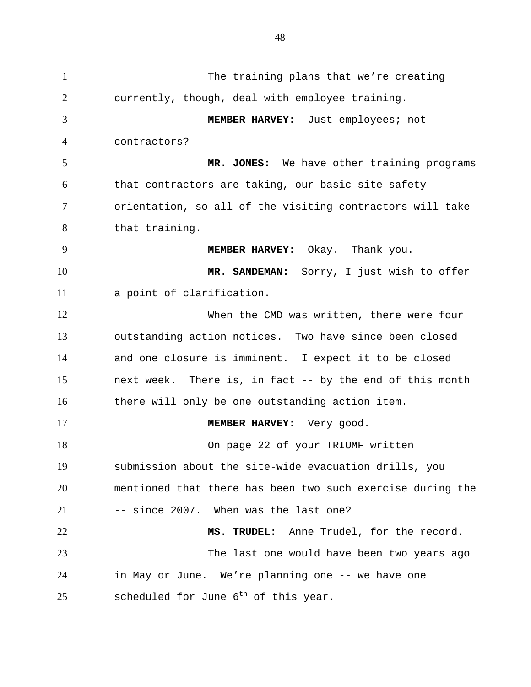The training plans that we're creating currently, though, deal with employee training. **MEMBER HARVEY:** Just employees; not contractors? **MR. JONES:** We have other training programs that contractors are taking, our basic site safety orientation, so all of the visiting contractors will take that training. **MEMBER HARVEY:** Okay. Thank you. **MR. SANDEMAN:** Sorry, I just wish to offer a point of clarification. When the CMD was written, there were four outstanding action notices. Two have since been closed and one closure is imminent. I expect it to be closed next week. There is, in fact -- by the end of this month there will only be one outstanding action item. **MEMBER HARVEY:** Very good. On page 22 of your TRIUMF written submission about the site-wide evacuation drills, you mentioned that there has been two such exercise during the -- since 2007. When was the last one? **MS. TRUDEL:** Anne Trudel, for the record. The last one would have been two years ago in May or June. We're planning one -- we have one scheduled for June  $6^{th}$  of this year. 1 2 3 4 5 6 7 8 9 10 11 12 13 14 15 16 17 18 19 20 21 22 23 24 25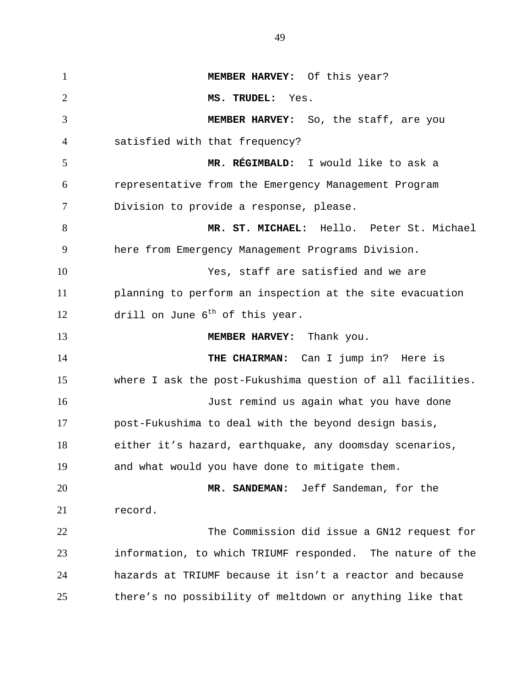**MEMBER HARVEY:** Of this year? **MS. TRUDEL:** Yes. **MEMBER HARVEY:** So, the staff, are you satisfied with that frequency? **MR. RÉGIMBALD:** I would like to ask a representative from the Emergency Management Program Division to provide a response, please. **MR. ST. MICHAEL:** Hello. Peter St. Michael here from Emergency Management Programs Division. Yes, staff are satisfied and we are planning to perform an inspection at the site evacuation drill on June  $6^{th}$  of this year. **MEMBER HARVEY:** Thank you. **THE CHAIRMAN:** Can I jump in? Here is where I ask the post-Fukushima question of all facilities. Just remind us again what you have done post-Fukushima to deal with the beyond design basis, either it's hazard, earthquake, any doomsday scenarios, and what would you have done to mitigate them. **MR. SANDEMAN:** Jeff Sandeman, for the record. The Commission did issue a GN12 request for information, to which TRIUMF responded. The nature of the hazards at TRIUMF because it isn't a reactor and because there's no possibility of meltdown or anything like that 1 2 3 4 5 6 7 8 9 10 11 12 13 14 15 16 17 18 19 20 21 22 23 24 25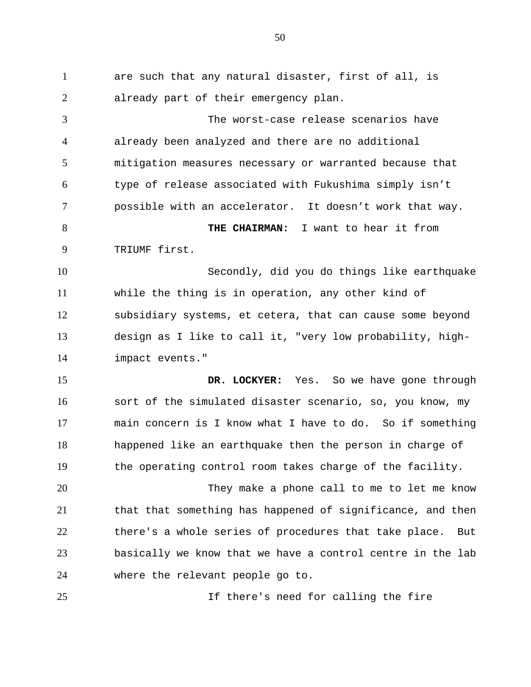are such that any natural disaster, first of all, is already part of their emergency plan. The worst-case release scenarios have already been analyzed and there are no additional mitigation measures necessary or warranted because that type of release associated with Fukushima simply isn't possible with an accelerator. It doesn't work that way. **THE CHAIRMAN:** I want to hear it from TRIUMF first. Secondly, did you do things like earthquake while the thing is in operation, any other kind of subsidiary systems, et cetera, that can cause some beyond design as I like to call it, "very low probability, highimpact events." **DR. LOCKYER:** Yes. So we have gone through sort of the simulated disaster scenario, so, you know, my main concern is I know what I have to do. So if something happened like an earthquake then the person in charge of the operating control room takes charge of the facility. They make a phone call to me to let me know that that something has happened of significance, and then there's a whole series of procedures that take place. But basically we know that we have a control centre in the lab where the relevant people go to. If there's need for calling the fire 1 2 3 4 5 6 7 8 9 10 11 12 13 14 15 16 17 18 19 20 21 22 23 24 25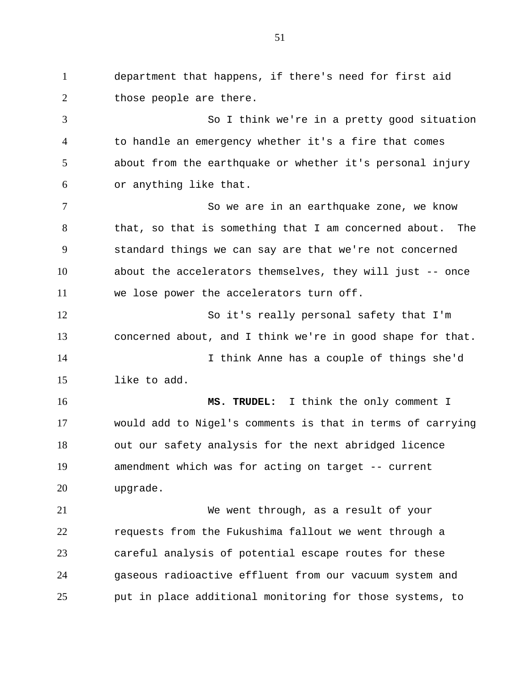department that happens, if there's need for first aid those people are there. So I think we're in a pretty good situation to handle an emergency whether it's a fire that comes about from the earthquake or whether it's personal injury or anything like that. So we are in an earthquake zone, we know that, so that is something that I am concerned about. The standard things we can say are that we're not concerned about the accelerators themselves, they will just -- once we lose power the accelerators turn off. So it's really personal safety that I'm concerned about, and I think we're in good shape for that. I think Anne has a couple of things she'd like to add. **MS. TRUDEL:** I think the only comment I would add to Nigel's comments is that in terms of carrying out our safety analysis for the next abridged licence amendment which was for acting on target -- current upgrade. We went through, as a result of your requests from the Fukushima fallout we went through a careful analysis of potential escape routes for these gaseous radioactive effluent from our vacuum system and put in place additional monitoring for those systems, to 1 2 3 4 5 6 7 8 9 10 11 12 13 14 15 16 17 18 19 20 21 22 23 24 25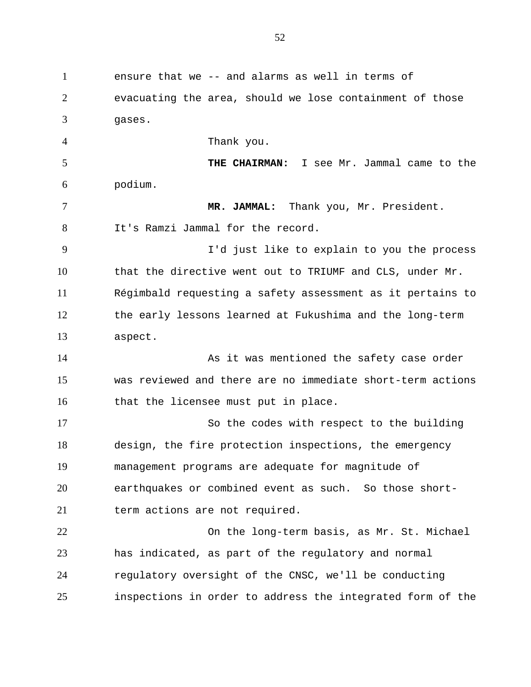ensure that we -- and alarms as well in terms of evacuating the area, should we lose containment of those gases. Thank you. **THE CHAIRMAN:** I see Mr. Jammal came to the podium. **MR. JAMMAL:** Thank you, Mr. President. It's Ramzi Jammal for the record. I'd just like to explain to you the process that the directive went out to TRIUMF and CLS, under Mr. Régimbald requesting a safety assessment as it pertains to the early lessons learned at Fukushima and the long-term aspect. As it was mentioned the safety case order was reviewed and there are no immediate short-term actions that the licensee must put in place. So the codes with respect to the building design, the fire protection inspections, the emergency management programs are adequate for magnitude of earthquakes or combined event as such. So those shortterm actions are not required. On the long-term basis, as Mr. St. Michael has indicated, as part of the regulatory and normal regulatory oversight of the CNSC, we'll be conducting inspections in order to address the integrated form of the 1 2 3 4 5 6 7 8 9 10 11 12 13 14 15 16 17 18 19 20 21 22 23 24 25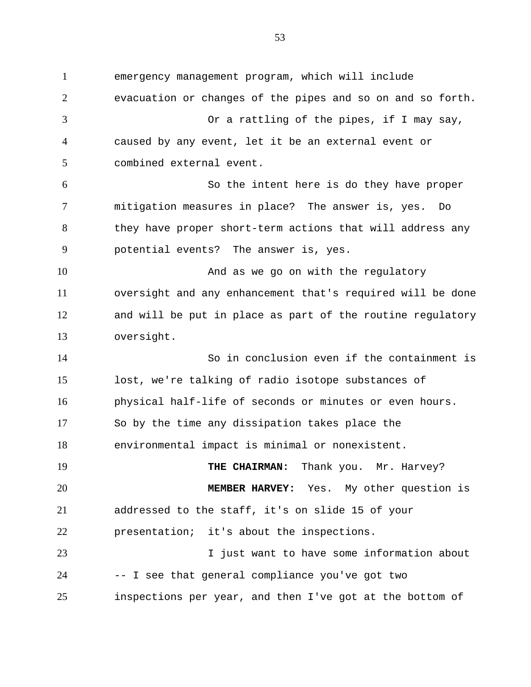emergency management program, which will include evacuation or changes of the pipes and so on and so forth. Or a rattling of the pipes, if I may say, caused by any event, let it be an external event or combined external event. So the intent here is do they have proper mitigation measures in place? The answer is, yes. Do they have proper short-term actions that will address any potential events? The answer is, yes. And as we go on with the regulatory oversight and any enhancement that's required will be done and will be put in place as part of the routine regulatory oversight. So in conclusion even if the containment is lost, we're talking of radio isotope substances of physical half-life of seconds or minutes or even hours. So by the time any dissipation takes place the environmental impact is minimal or nonexistent. **THE CHAIRMAN:** Thank you. Mr. Harvey? **MEMBER HARVEY:** Yes. My other question is addressed to the staff, it's on slide 15 of your presentation; it's about the inspections. I just want to have some information about -- I see that general compliance you've got two inspections per year, and then I've got at the bottom of 1 2 3 4 5 6 7 8 9 10 11 12 13 14 15 16 17 18 19 20 21 22 23 24 25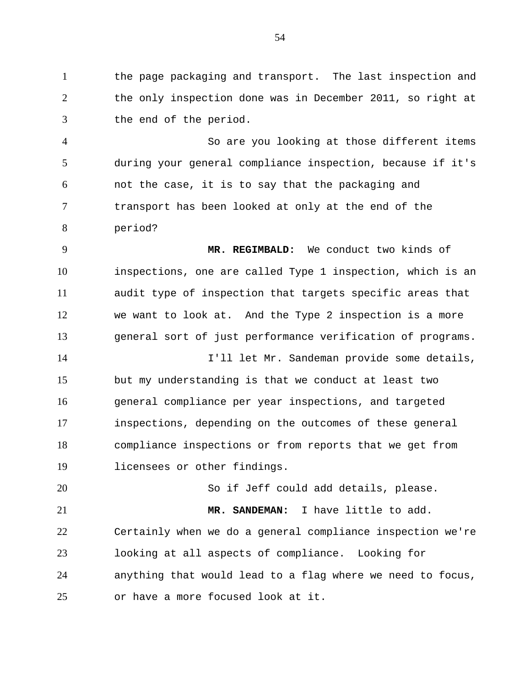the page packaging and transport. The last inspection and the only inspection done was in December 2011, so right at the end of the period. 1 2 3

So are you looking at those different items during your general compliance inspection, because if it's not the case, it is to say that the packaging and transport has been looked at only at the end of the period? 4 5 6 7 8

**MR. REGIMBALD:** We conduct two kinds of inspections, one are called Type 1 inspection, which is an audit type of inspection that targets specific areas that we want to look at. And the Type 2 inspection is a more general sort of just performance verification of programs. I'll let Mr. Sandeman provide some details, but my understanding is that we conduct at least two general compliance per year inspections, and targeted inspections, depending on the outcomes of these general compliance inspections or from reports that we get from 9 10 11 12 13 14 15 16 17 18

licensees or other findings. 19

So if Jeff could add details, please. **MR. SANDEMAN:** I have little to add. Certainly when we do a general compliance inspection we're 20 21 22

looking at all aspects of compliance. Looking for anything that would lead to a flag where we need to focus, or have a more focused look at it. 23 24 25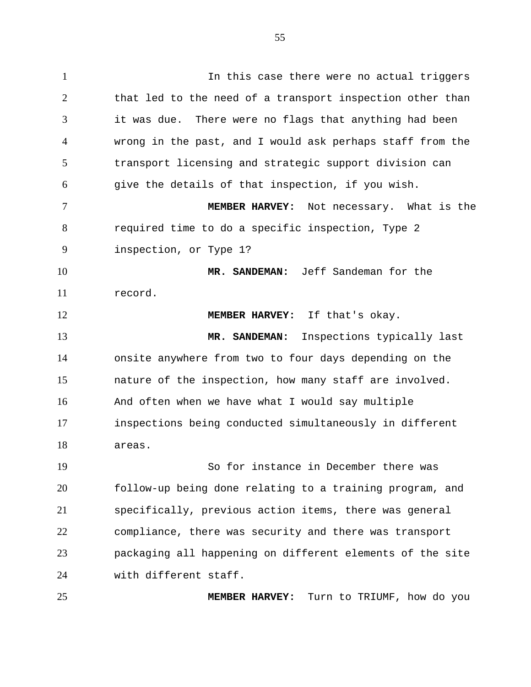In this case there were no actual triggers that led to the need of a transport inspection other than it was due. There were no flags that anything had been wrong in the past, and I would ask perhaps staff from the transport licensing and strategic support division can give the details of that inspection, if you wish. **MEMBER HARVEY:** Not necessary. What is the 1 2 3 4 5 6 7

required time to do a specific inspection, Type 2 inspection, or Type 1? 8 9

**MR. SANDEMAN:** Jeff Sandeman for the record. 10 11

12

25

**MEMBER HARVEY:** If that's okay. **MR. SANDEMAN:** Inspections typically last onsite anywhere from two to four days depending on the nature of the inspection, how many staff are involved. And often when we have what I would say multiple inspections being conducted simultaneously in different areas. 13 14 15 16 17 18

So for instance in December there was follow-up being done relating to a training program, and specifically, previous action items, there was general compliance, there was security and there was transport packaging all happening on different elements of the site with different staff. 19 20 21 22 23 24

**MEMBER HARVEY:** Turn to TRIUMF, how do you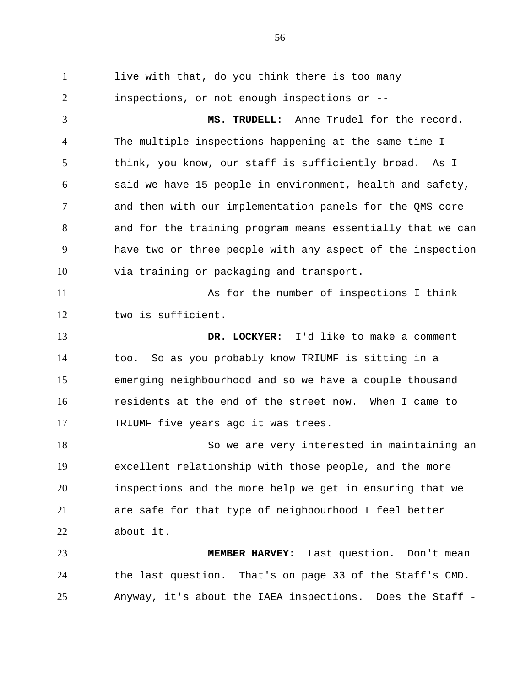live with that, do you think there is too many inspections, or not enough inspections or -- **MS. TRUDELL:** Anne Trudel for the record. The multiple inspections happening at the same time I think, you know, our staff is sufficiently broad. As I said we have 15 people in environment, health and safety, and then with our implementation panels for the QMS core and for the training program means essentially that we can have two or three people with any aspect of the inspection via training or packaging and transport. As for the number of inspections I think two is sufficient. **DR. LOCKYER:** I'd like to make a comment too. So as you probably know TRIUMF is sitting in a emerging neighbourhood and so we have a couple thousand residents at the end of the street now. When I came to TRIUMF five years ago it was trees. So we are very interested in maintaining an excellent relationship with those people, and the more inspections and the more help we get in ensuring that we are safe for that type of neighbourhood I feel better about it. **MEMBER HARVEY:** Last question. Don't mean the last question. That's on page 33 of the Staff's CMD. 1 2 3 4 5 6 7 8 9 10 11 12 13 14 15 16 17 18 19 20 21 22 23 24

Anyway, it's about the IAEA inspections. Does the Staff -

25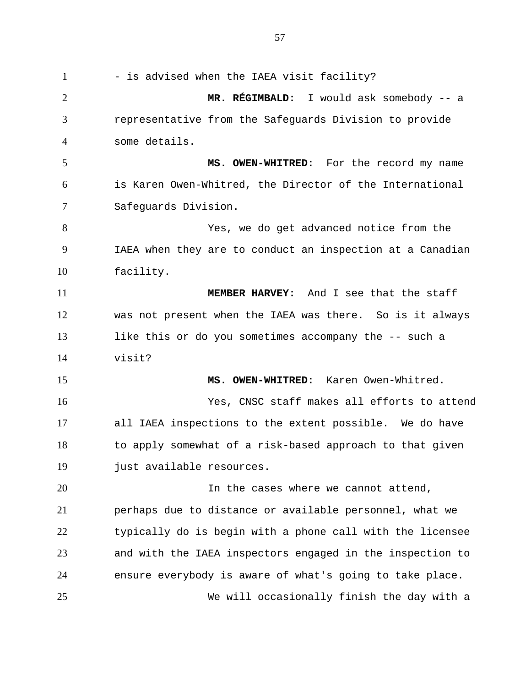- is advised when the IAEA visit facility? **MR. RÉGIMBALD:** I would ask somebody -- a representative from the Safeguards Division to provide some details. **MS. OWEN-WHITRED:** For the record my name is Karen Owen-Whitred, the Director of the International Safeguards Division. Yes, we do get advanced notice from the IAEA when they are to conduct an inspection at a Canadian facility. **MEMBER HARVEY:** And I see that the staff was not present when the IAEA was there. So is it always like this or do you sometimes accompany the -- such a visit? **MS. OWEN-WHITRED:** Karen Owen-Whitred. Yes, CNSC staff makes all efforts to attend all IAEA inspections to the extent possible. We do have to apply somewhat of a risk-based approach to that given just available resources. In the cases where we cannot attend, perhaps due to distance or available personnel, what we typically do is begin with a phone call with the licensee and with the IAEA inspectors engaged in the inspection to ensure everybody is aware of what's going to take place. We will occasionally finish the day with a 1 2 3 4 5 6 7 8 9 10 11 12 13 14 15 16 17 18 19 20 21 22 23 24 25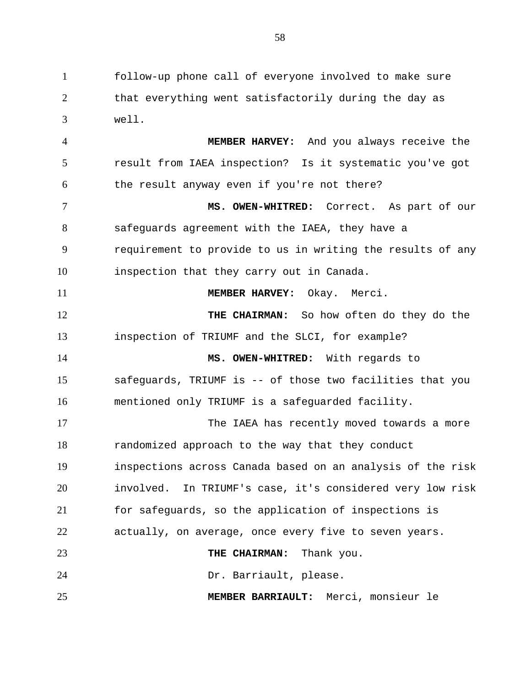follow-up phone call of everyone involved to make sure that everything went satisfactorily during the day as well. 1 2 3

**MEMBER HARVEY:** And you always receive the result from IAEA inspection? Is it systematic you've got the result anyway even if you're not there? **MS. OWEN-WHITRED:** Correct. As part of our safeguards agreement with the IAEA, they have a requirement to provide to us in writing the results of any inspection that they carry out in Canada. 4 5 6 7 8 9 10

**MEMBER HARVEY:** Okay. Merci. **THE CHAIRMAN:** So how often do they do the inspection of TRIUMF and the SLCI, for example? **MS. OWEN-WHITRED:** With regards to 11 12 13 14

safeguards, TRIUMF is -- of those two facilities that you mentioned only TRIUMF is a safeguarded facility. 15 16

The IAEA has recently moved towards a more randomized approach to the way that they conduct inspections across Canada based on an analysis of the risk involved. In TRIUMF's case, it's considered very low risk for safeguards, so the application of inspections is actually, on average, once every five to seven years. **THE CHAIRMAN:** Thank you. Dr. Barriault, please. 17 18 19 20 21 22 23 24

**MEMBER BARRIAULT:** Merci, monsieur le 25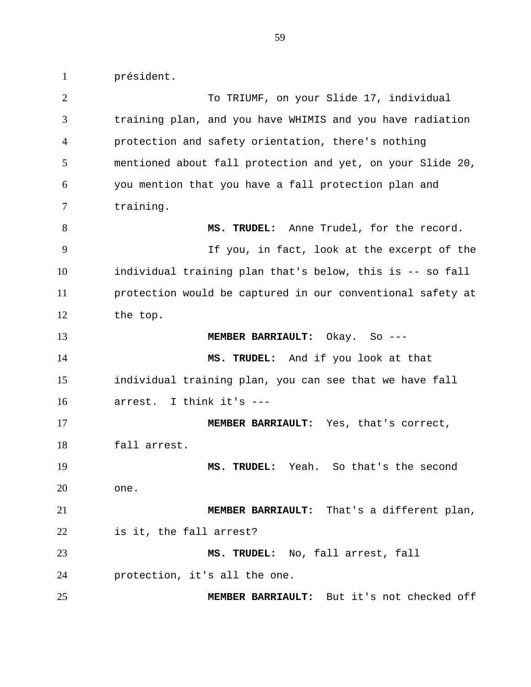président. To TRIUMF, on your Slide 17, individual training plan, and you have WHIMIS and you have radiation protection and safety orientation, there's nothing mentioned about fall protection and yet, on your Slide 20, you mention that you have a fall protection plan and training. **MS. TRUDEL:** Anne Trudel, for the record. If you, in fact, look at the excerpt of the individual training plan that's below, this is -- so fall protection would be captured in our conventional safety at the top. **MEMBER BARRIAULT:** Okay. So --- **MS. TRUDEL:** And if you look at that individual training plan, you can see that we have fall arrest. I think it's --- **MEMBER BARRIAULT:** Yes, that's correct, fall arrest. **MS. TRUDEL:** Yeah. So that's the second one. **MEMBER BARRIAULT:** That's a different plan, is it, the fall arrest? **MS. TRUDEL:** No, fall arrest, fall protection, it's all the one. 1 2 3 4 5 6 7 8 9 10 11 12 13 14 15 16 17 18 19 20 21 22 23 24

25

**MEMBER BARRIAULT:** But it's not checked off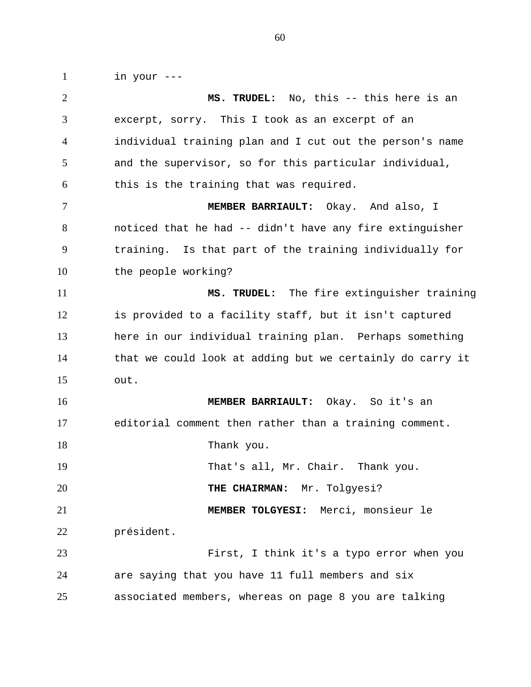in your ---

1

**MS. TRUDEL:** No, this -- this here is an excerpt, sorry. This I took as an excerpt of an individual training plan and I cut out the person's name and the supervisor, so for this particular individual, this is the training that was required. **MEMBER BARRIAULT:** Okay. And also, I noticed that he had -- didn't have any fire extinguisher training. Is that part of the training individually for the people working? **MS. TRUDEL:** The fire extinguisher training is provided to a facility staff, but it isn't captured here in our individual training plan. Perhaps something that we could look at adding but we certainly do carry it out. **MEMBER BARRIAULT:** Okay. So it's an editorial comment then rather than a training comment. Thank you. That's all, Mr. Chair. Thank you. **THE CHAIRMAN:** Mr. Tolgyesi? **MEMBER TOLGYESI:** Merci, monsieur le président. First, I think it's a typo error when you are saying that you have 11 full members and six associated members, whereas on page 8 you are talking 2 3 4 5 6 7 8 9 10 11 12 13 14 15 16 17 18 19 20 21 22 23 24 25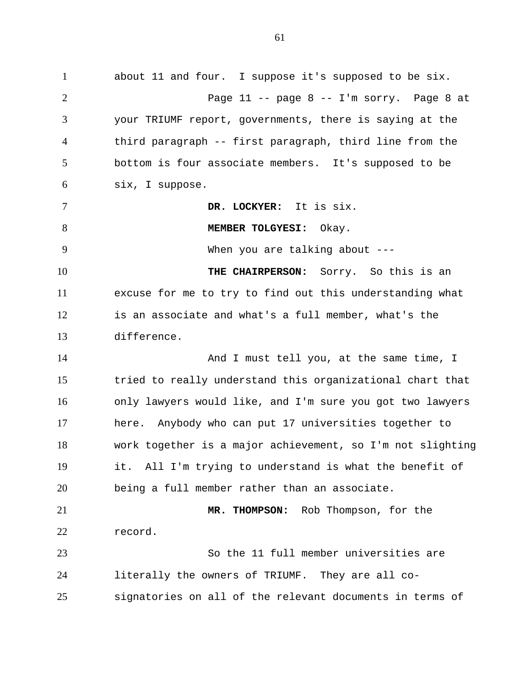about 11 and four. I suppose it's supposed to be six. Page 11 -- page 8 -- I'm sorry. Page 8 at your TRIUMF report, governments, there is saying at the third paragraph -- first paragraph, third line from the bottom is four associate members. It's supposed to be six, I suppose. **DR. LOCKYER:** It is six. **MEMBER TOLGYESI:** Okay. When you are talking about ---**THE CHAIRPERSON:** Sorry. So this is an excuse for me to try to find out this understanding what is an associate and what's a full member, what's the difference. And I must tell you, at the same time, I tried to really understand this organizational chart that only lawyers would like, and I'm sure you got two lawyers here. Anybody who can put 17 universities together to work together is a major achievement, so I'm not slighting it. All I'm trying to understand is what the benefit of being a full member rather than an associate. **MR. THOMPSON:** Rob Thompson, for the record. So the 11 full member universities are literally the owners of TRIUMF. They are all cosignatories on all of the relevant documents in terms of 1 2 3 4 5 6 7 8 9 10 11 12 13 14 15 16 17 18 19 20 21 22 23 24 25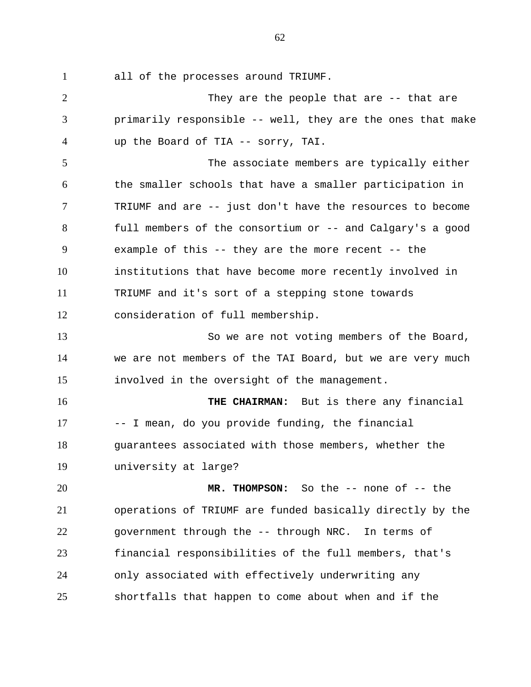all of the processes around TRIUMF. 1

They are the people that are -- that are primarily responsible -- well, they are the ones that make up the Board of TIA -- sorry, TAI. The associate members are typically either the smaller schools that have a smaller participation in TRIUMF and are -- just don't have the resources to become full members of the consortium or -- and Calgary's a good example of this -- they are the more recent -- the institutions that have become more recently involved in TRIUMF and it's sort of a stepping stone towards consideration of full membership. So we are not voting members of the Board, we are not members of the TAI Board, but we are very much involved in the oversight of the management. **THE CHAIRMAN:** But is there any financial -- I mean, do you provide funding, the financial guarantees associated with those members, whether the university at large? **MR. THOMPSON:** So the -- none of -- the operations of TRIUMF are funded basically directly by the government through the -- through NRC. In terms of financial responsibilities of the full members, that's only associated with effectively underwriting any shortfalls that happen to come about when and if the 2 3 4 5 6 7 8 9 10 11 12 13 14 15 16 17 18 19 20 21 22 23 24 25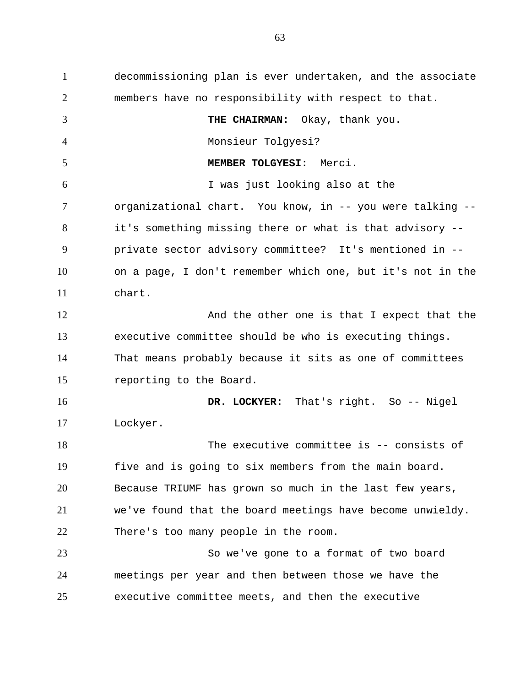decommissioning plan is ever undertaken, and the associate members have no responsibility with respect to that. **THE CHAIRMAN:** Okay, thank you. Monsieur Tolgyesi? **MEMBER TOLGYESI:** Merci. I was just looking also at the organizational chart. You know, in -- you were talking - it's something missing there or what is that advisory - private sector advisory committee? It's mentioned in - on a page, I don't remember which one, but it's not in the chart. And the other one is that I expect that the executive committee should be who is executing things. That means probably because it sits as one of committees reporting to the Board. **DR. LOCKYER:** That's right. So -- Nigel Lockyer. The executive committee is -- consists of five and is going to six members from the main board. Because TRIUMF has grown so much in the last few years, we've found that the board meetings have become unwieldy. There's too many people in the room. So we've gone to a format of two board meetings per year and then between those we have the executive committee meets, and then the executive 1 2 3 4 5 6 7 8 9 10 11 12 13 14 15 16 17 18 19 20 21 22 23 24 25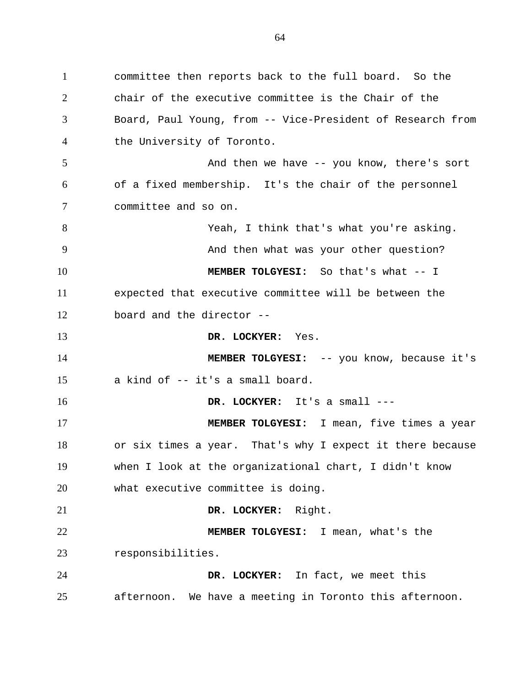committee then reports back to the full board. So the chair of the executive committee is the Chair of the Board, Paul Young, from -- Vice-President of Research from the University of Toronto. And then we have -- you know, there's sort of a fixed membership. It's the chair of the personnel committee and so on. Yeah, I think that's what you're asking. And then what was your other question? **MEMBER TOLGYESI:** So that's what -- I expected that executive committee will be between the board and the director -- **DR. LOCKYER:** Yes. **MEMBER TOLGYESI:** -- you know, because it's a kind of -- it's a small board. **DR. LOCKYER:** It's a small --- **MEMBER TOLGYESI:** I mean, five times a year or six times a year. That's why I expect it there because when I look at the organizational chart, I didn't know what executive committee is doing. **DR. LOCKYER:** Right. **MEMBER TOLGYESI:** I mean, what's the responsibilities. **DR. LOCKYER:** In fact, we meet this afternoon. We have a meeting in Toronto this afternoon. 1 2 3 4 5 6 7 8 9 10 11 12 13 14 15 16 17 18 19 20 21 22 23 24 25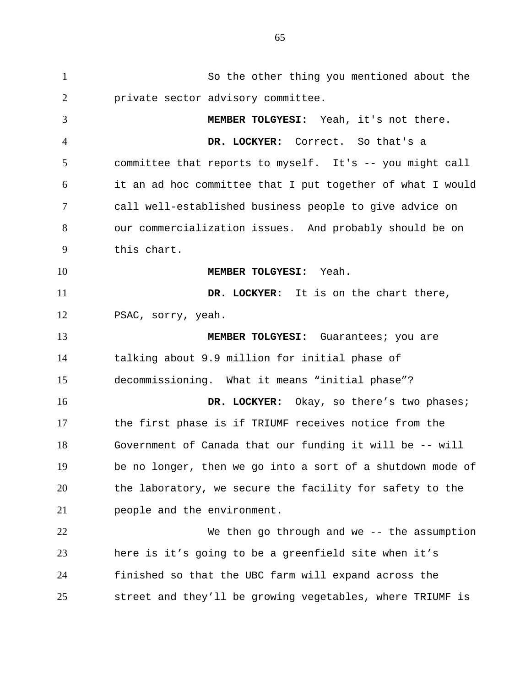So the other thing you mentioned about the private sector advisory committee. **MEMBER TOLGYESI:** Yeah, it's not there. **DR. LOCKYER:** Correct. So that's a committee that reports to myself. It's -- you might call it an ad hoc committee that I put together of what I would call well-established business people to give advice on our commercialization issues. And probably should be on this chart. **MEMBER TOLGYESI:** Yeah. **DR. LOCKYER:** It is on the chart there, PSAC, sorry, yeah.  **MEMBER TOLGYESI:** Guarantees; you are talking about 9.9 million for initial phase of decommissioning. What it means "initial phase"?  **DR. LOCKYER:** Okay, so there's two phases; the first phase is if TRIUMF receives notice from the Government of Canada that our funding it will be -- will be no longer, then we go into a sort of a shutdown mode of the laboratory, we secure the facility for safety to the people and the environment. We then go through and we -- the assumption here is it's going to be a greenfield site when it's finished so that the UBC farm will expand across the street and they'll be growing vegetables, where TRIUMF is 1 2 3 4 5 6 7 8 9 10 11 12 13 14 15 16 17 18 19 20 21 22 23 24 25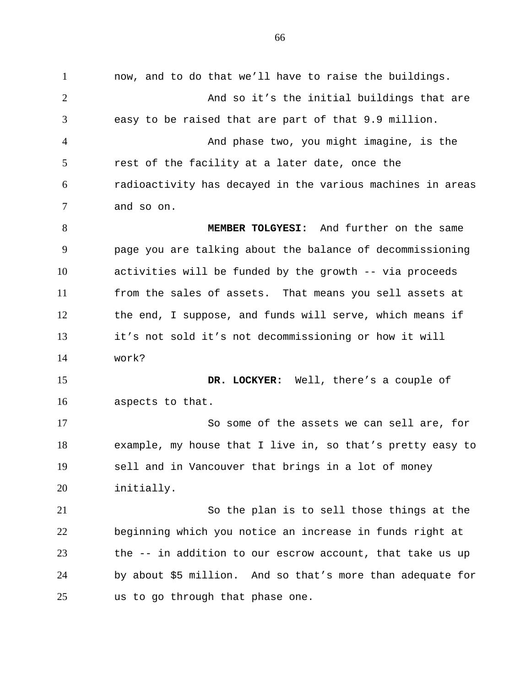now, and to do that we'll have to raise the buildings. And so it's the initial buildings that are easy to be raised that are part of that 9.9 million. And phase two, you might imagine, is the rest of the facility at a later date, once the radioactivity has decayed in the various machines in areas and so on. **MEMBER TOLGYESI:** And further on the same page you are talking about the balance of decommissioning activities will be funded by the growth -- via proceeds from the sales of assets. That means you sell assets at the end, I suppose, and funds will serve, which means if it's not sold it's not decommissioning or how it will work?  **DR. LOCKYER:** Well, there's a couple of aspects to that. So some of the assets we can sell are, for example, my house that I live in, so that's pretty easy to sell and in Vancouver that brings in a lot of money initially. So the plan is to sell those things at the beginning which you notice an increase in funds right at the -- in addition to our escrow account, that take us up by about \$5 million. And so that's more than adequate for us to go through that phase one. 1 2 3 4 5 6 7 8 9 10 11 12 13 14 15 16 17 18 19 20 21 22 23 24 25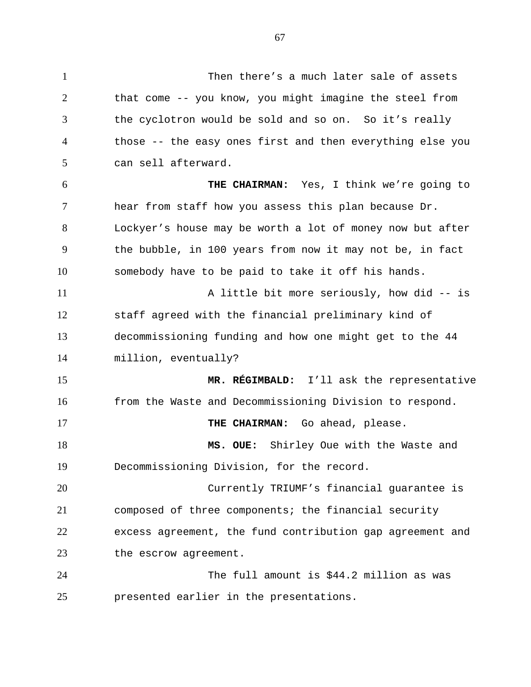Then there's a much later sale of assets that come -- you know, you might imagine the steel from the cyclotron would be sold and so on. So it's really those -- the easy ones first and then everything else you can sell afterward. **THE CHAIRMAN:** Yes, I think we're going to hear from staff how you assess this plan because Dr. Lockyer's house may be worth a lot of money now but after the bubble, in 100 years from now it may not be, in fact somebody have to be paid to take it off his hands. A little bit more seriously, how did -- is staff agreed with the financial preliminary kind of decommissioning funding and how one might get to the 44 million, eventually? **MR. RÉGIMBALD:** I'll ask the representative from the Waste and Decommissioning Division to respond.  **THE CHAIRMAN:** Go ahead, please. **MS. OUE:** Shirley Oue with the Waste and Decommissioning Division, for the record. Currently TRIUMF's financial guarantee is composed of three components; the financial security excess agreement, the fund contribution gap agreement and 1 2 3 4 5 6 7 8 9 10 11 12 13 14 15 16 17 18 19 20 21 22

The full amount is \$44.2 million as was presented earlier in the presentations. 24 25

the escrow agreement.

23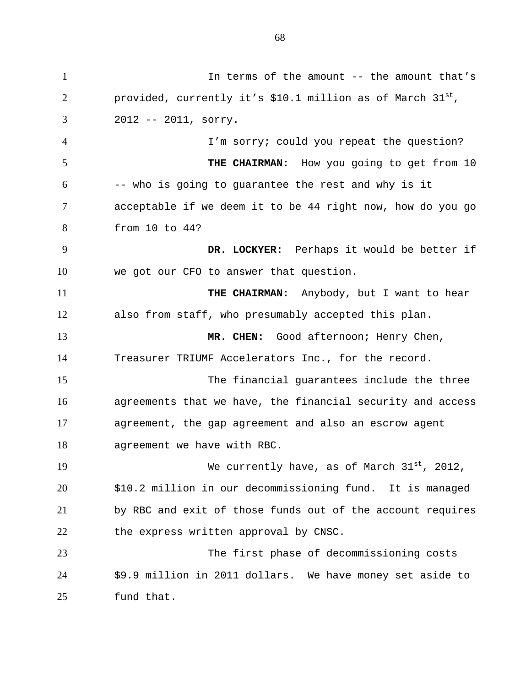In terms of the amount -- the amount that's provided, currently it's \$10.1 million as of March  $31^{st}$ , 2012 -- 2011, sorry. I'm sorry; could you repeat the question? **THE CHAIRMAN:** How you going to get from 10 -- who is going to guarantee the rest and why is it acceptable if we deem it to be 44 right now, how do you go from 10 to 44? **DR. LOCKYER:** Perhaps it would be better if we got our CFO to answer that question.  **THE CHAIRMAN:** Anybody, but I want to hear also from staff, who presumably accepted this plan. **MR. CHEN:** Good afternoon; Henry Chen, Treasurer TRIUMF Accelerators Inc., for the record. The financial guarantees include the three agreements that we have, the financial security and access agreement, the gap agreement and also an escrow agent agreement we have with RBC. We currently have, as of March  $31^{st}$ , 2012, \$10.2 million in our decommissioning fund. It is managed by RBC and exit of those funds out of the account requires the express written approval by CNSC. The first phase of decommissioning costs \$9.9 million in 2011 dollars. We have money set aside to fund that. 1 2 3 4 5 6 7 8 9 10 11 12 13 14 15 16 17 18 19 20 21 22 23 24 25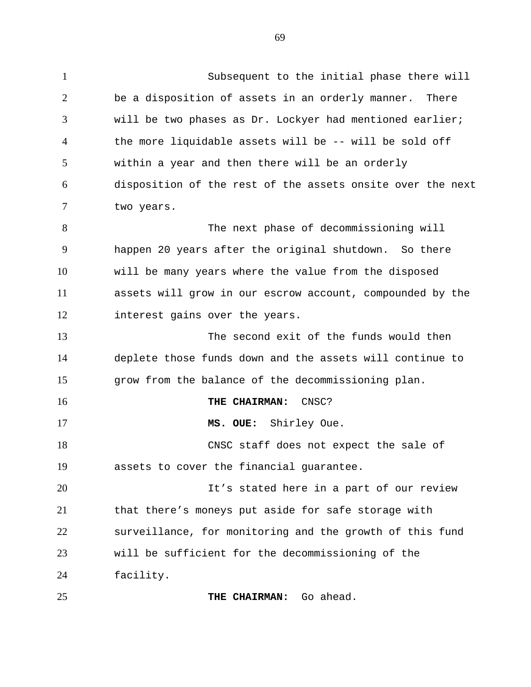Subsequent to the initial phase there will be a disposition of assets in an orderly manner. There will be two phases as Dr. Lockyer had mentioned earlier; the more liquidable assets will be -- will be sold off within a year and then there will be an orderly disposition of the rest of the assets onsite over the next two years. The next phase of decommissioning will happen 20 years after the original shutdown. So there will be many years where the value from the disposed assets will grow in our escrow account, compounded by the interest gains over the years. The second exit of the funds would then deplete those funds down and the assets will continue to grow from the balance of the decommissioning plan. **THE CHAIRMAN:** CNSC?  **MS. OUE:** Shirley Oue. CNSC staff does not expect the sale of assets to cover the financial guarantee. It's stated here in a part of our review that there's moneys put aside for safe storage with surveillance, for monitoring and the growth of this fund 1 2 3 4 5 6 7 8 9 10 11 12 13 14 15 16 17 18 19 20 21 22

will be sufficient for the decommissioning of the

facility. 24

23

**THE CHAIRMAN:** Go ahead. 25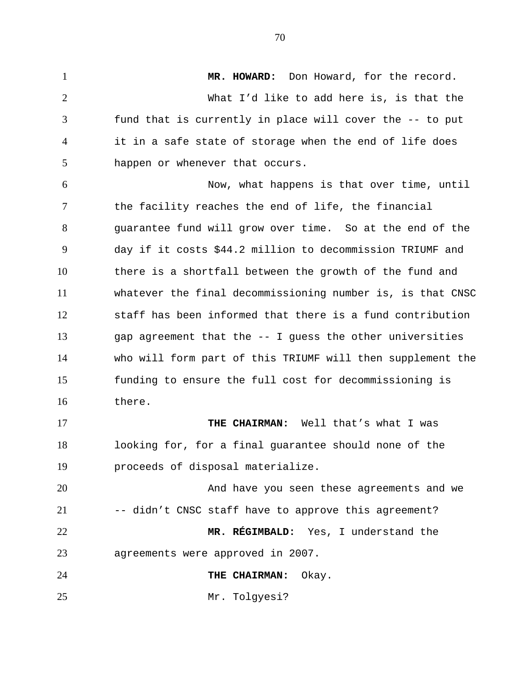**MR. HOWARD:** Don Howard, for the record. What I'd like to add here is, is that the fund that is currently in place will cover the -- to put it in a safe state of storage when the end of life does happen or whenever that occurs. Now, what happens is that over time, until the facility reaches the end of life, the financial guarantee fund will grow over time. So at the end of the day if it costs \$44.2 million to decommission TRIUMF and there is a shortfall between the growth of the fund and whatever the final decommissioning number is, is that CNSC staff has been informed that there is a fund contribution gap agreement that the -- I guess the other universities who will form part of this TRIUMF will then supplement the funding to ensure the full cost for decommissioning is there. **THE CHAIRMAN:** Well that's what I was looking for, for a final guarantee should none of the proceeds of disposal materialize. And have you seen these agreements and we -- didn't CNSC staff have to approve this agreement? **MR. RÉGIMBALD:** Yes, I understand the agreements were approved in 2007.  **THE CHAIRMAN:** Okay. Mr. Tolgyesi? 1 2 3 4 5 6 7 8 9 10 11 12 13 14 15 16 17 18 19 20 21 22 23 24 25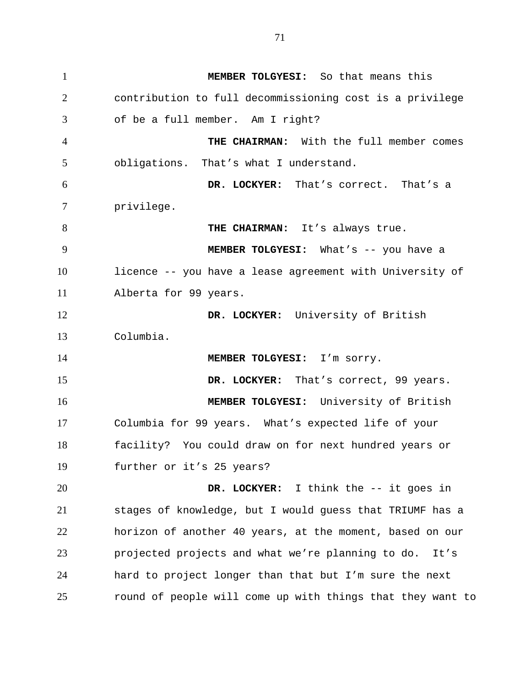**MEMBER TOLGYESI:** So that means this contribution to full decommissioning cost is a privilege of be a full member. Am I right?  **THE CHAIRMAN:** With the full member comes obligations. That's what I understand.  **DR. LOCKYER:** That's correct. That's a privilege.  **THE CHAIRMAN:** It's always true.  **MEMBER TOLGYESI:** What's -- you have a licence -- you have a lease agreement with University of Alberta for 99 years.  **DR. LOCKYER:** University of British Columbia.  **MEMBER TOLGYESI:** I'm sorry.  **DR. LOCKYER:** That's correct, 99 years.  **MEMBER TOLGYESI:** University of British Columbia for 99 years. What's expected life of your facility? You could draw on for next hundred years or further or it's 25 years?  **DR. LOCKYER:** I think the -- it goes in stages of knowledge, but I would guess that TRIUMF has a horizon of another 40 years, at the moment, based on our projected projects and what we're planning to do. It's hard to project longer than that but I'm sure the next 1 2 3 4 5 6 7 8 9 10 11 12 13 14 15 16 17 18 19 20 21 22 23 24

round of people will come up with things that they want to

25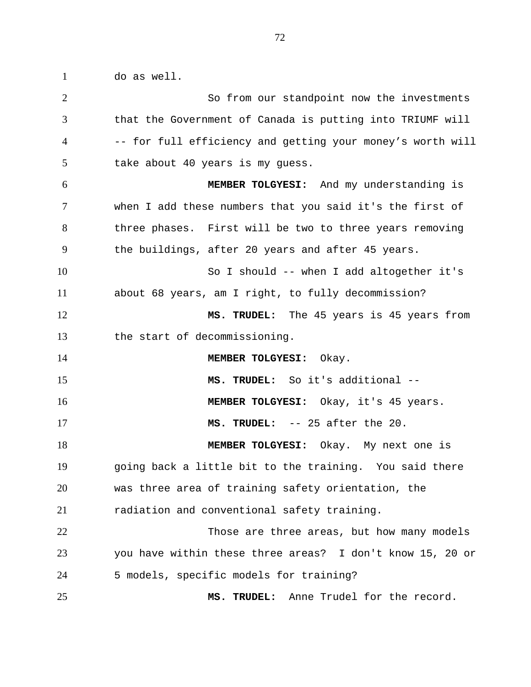do as well. 1

| $\overline{2}$ | So from our standpoint now the investments                 |
|----------------|------------------------------------------------------------|
| 3              | that the Government of Canada is putting into TRIUMF will  |
| 4              | -- for full efficiency and getting your money's worth will |
| 5              | take about 40 years is my guess.                           |
| 6              | MEMBER TOLGYESI: And my understanding is                   |
| 7              | when I add these numbers that you said it's the first of   |
| 8              | three phases. First will be two to three years removing    |
| 9              | the buildings, after 20 years and after 45 years.          |
| 10             | So I should -- when I add altogether it's                  |
| 11             | about 68 years, am I right, to fully decommission?         |
| 12             | MS. TRUDEL: The 45 years is 45 years from                  |
| 13             | the start of decommissioning.                              |
| 14             | MEMBER TOLGYESI: Okay.                                     |
| 15             | MS. TRUDEL: So it's additional --                          |
| 16             | MEMBER TOLGYESI: Okay, it's 45 years.                      |
| 17             | MS. TRUDEL: -- 25 after the 20.                            |
| 18             | MEMBER TOLGYESI: Okay. My next one is                      |
| 19             | going back a little bit to the training. You said there    |
| 20             | was three area of training safety orientation, the         |
| 21             | radiation and conventional safety training.                |
| 22             | Those are three areas, but how many models                 |
| 23             | you have within these three areas? I don't know 15, 20 or  |
| 24             | 5 models, specific models for training?                    |
| 25             | MS. TRUDEL: Anne Trudel for the record.                    |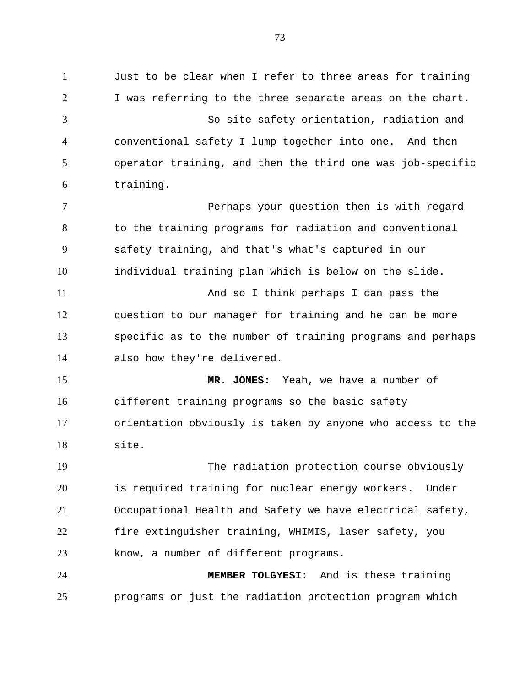Just to be clear when I refer to three areas for training I was referring to the three separate areas on the chart. So site safety orientation, radiation and conventional safety I lump together into one. And then operator training, and then the third one was job-specific training. Perhaps your question then is with regard to the training programs for radiation and conventional safety training, and that's what's captured in our individual training plan which is below on the slide. And so I think perhaps I can pass the question to our manager for training and he can be more specific as to the number of training programs and perhaps also how they're delivered. **MR. JONES:** Yeah, we have a number of different training programs so the basic safety orientation obviously is taken by anyone who access to the site. The radiation protection course obviously is required training for nuclear energy workers. Under Occupational Health and Safety we have electrical safety, fire extinguisher training, WHIMIS, laser safety, you know, a number of different programs. **MEMBER TOLGYESI:** And is these training programs or just the radiation protection program which 1 2 3 4 5 6 7 8 9 10 11 12 13 14 15 16 17 18 19 20 21 22 23 24 25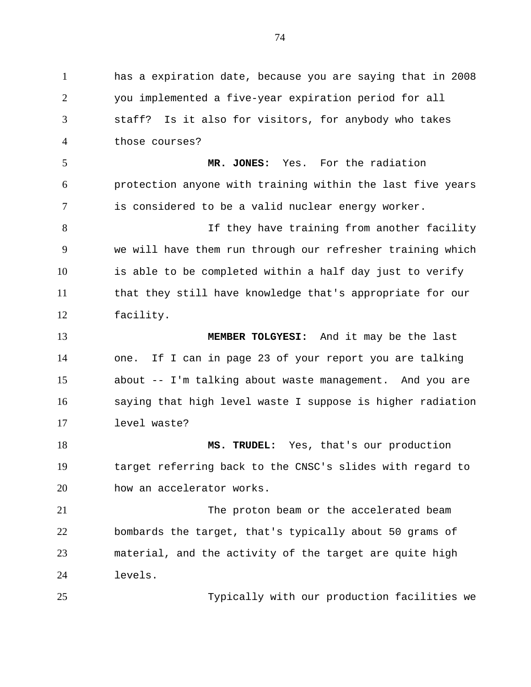has a expiration date, because you are saying that in 2008 you implemented a five-year expiration period for all staff? Is it also for visitors, for anybody who takes those courses? **MR. JONES:** Yes. For the radiation protection anyone with training within the last five years is considered to be a valid nuclear energy worker. If they have training from another facility we will have them run through our refresher training which is able to be completed within a half day just to verify that they still have knowledge that's appropriate for our facility. **MEMBER TOLGYESI:** And it may be the last one. If I can in page 23 of your report you are talking about -- I'm talking about waste management. And you are saying that high level waste I suppose is higher radiation level waste? **MS. TRUDEL:** Yes, that's our production target referring back to the CNSC's slides with regard to how an accelerator works. The proton beam or the accelerated beam bombards the target, that's typically about 50 grams of material, and the activity of the target are quite high levels. Typically with our production facilities we 1 2 3 4 5 6 7 8 9 10 11 12 13 14 15 16 17 18 19 20 21 22 23 24 25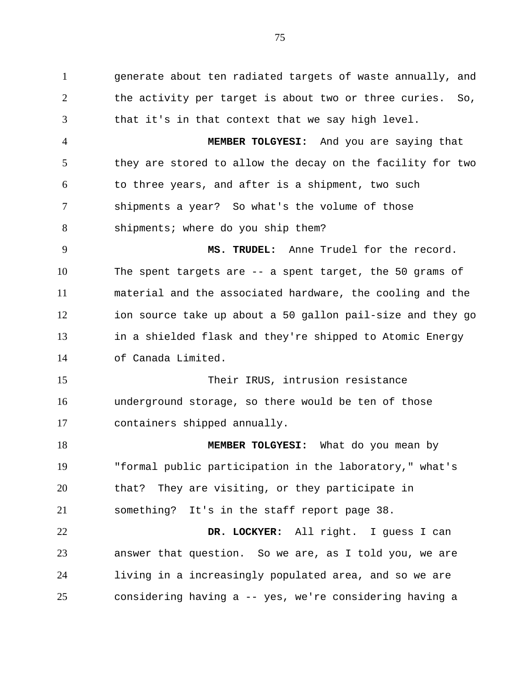generate about ten radiated targets of waste annually, and the activity per target is about two or three curies. So, that it's in that context that we say high level. 1 2 3

**MEMBER TOLGYESI:** And you are saying that they are stored to allow the decay on the facility for two to three years, and after is a shipment, two such shipments a year? So what's the volume of those shipments; where do you ship them? 4 5 6 7 8

**MS. TRUDEL:** Anne Trudel for the record. The spent targets are -- a spent target, the 50 grams of material and the associated hardware, the cooling and the ion source take up about a 50 gallon pail-size and they go in a shielded flask and they're shipped to Atomic Energy of Canada Limited. 9 10 11 12 13 14

Their IRUS, intrusion resistance underground storage, so there would be ten of those containers shipped annually. 15 16 17

**MEMBER TOLGYESI:** What do you mean by "formal public participation in the laboratory," what's that? They are visiting, or they participate in something? It's in the staff report page 38. 18 19 20 21

**DR. LOCKYER:** All right. I guess I can answer that question. So we are, as I told you, we are living in a increasingly populated area, and so we are considering having a -- yes, we're considering having a 22 23 24 25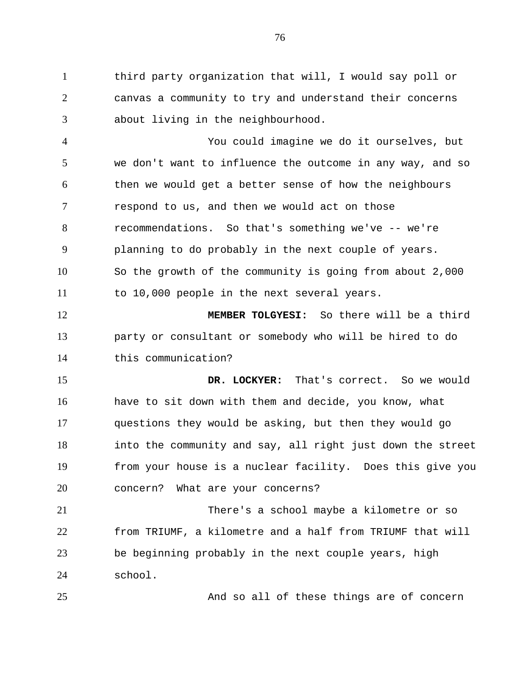third party organization that will, I would say poll or canvas a community to try and understand their concerns about living in the neighbourhood. 1 2 3

You could imagine we do it ourselves, but we don't want to influence the outcome in any way, and so then we would get a better sense of how the neighbours respond to us, and then we would act on those recommendations. So that's something we've -- we're planning to do probably in the next couple of years. So the growth of the community is going from about 2,000 to 10,000 people in the next several years. 4 5 6 7 8 9 10 11

**MEMBER TOLGYESI:** So there will be a third party or consultant or somebody who will be hired to do this communication? 12 13 14

**DR. LOCKYER:** That's correct. So we would have to sit down with them and decide, you know, what questions they would be asking, but then they would go into the community and say, all right just down the street from your house is a nuclear facility. Does this give you concern? What are your concerns? 15 16 17 18 19 20

There's a school maybe a kilometre or so from TRIUMF, a kilometre and a half from TRIUMF that will be beginning probably in the next couple years, high school. 21 22 23 24

25

And so all of these things are of concern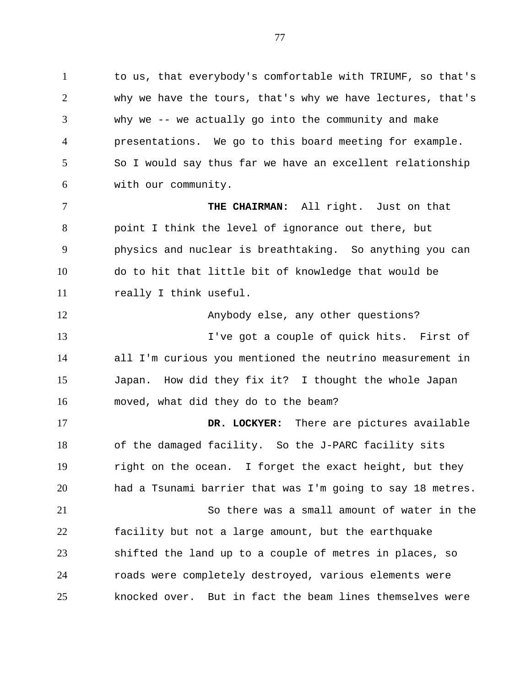to us, that everybody's comfortable with TRIUMF, so that's why we have the tours, that's why we have lectures, that's why we -- we actually go into the community and make presentations. We go to this board meeting for example. So I would say thus far we have an excellent relationship with our community. 1 2 3 4 5 6

**THE CHAIRMAN:** All right. Just on that point I think the level of ignorance out there, but physics and nuclear is breathtaking. So anything you can do to hit that little bit of knowledge that would be really I think useful. 7 8 9 10 11

Anybody else, any other questions? I've got a couple of quick hits. First of all I'm curious you mentioned the neutrino measurement in Japan. How did they fix it? I thought the whole Japan moved, what did they do to the beam? 12 13 14 15 16

**DR. LOCKYER:** There are pictures available of the damaged facility. So the J-PARC facility sits right on the ocean. I forget the exact height, but they had a Tsunami barrier that was I'm going to say 18 metres. So there was a small amount of water in the facility but not a large amount, but the earthquake shifted the land up to a couple of metres in places, so 17 18 19 20 21 22 23

roads were completely destroyed, various elements were knocked over. But in fact the beam lines themselves were 24 25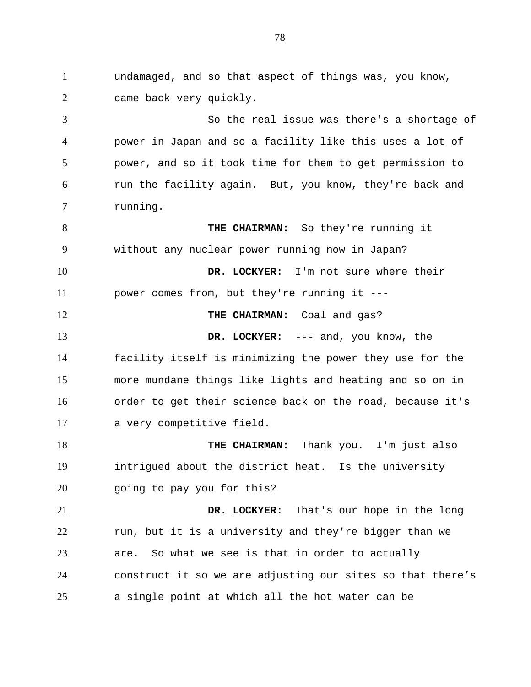undamaged, and so that aspect of things was, you know, came back very quickly. So the real issue was there's a shortage of power in Japan and so a facility like this uses a lot of power, and so it took time for them to get permission to run the facility again. But, you know, they're back and running. **THE CHAIRMAN:** So they're running it without any nuclear power running now in Japan? **DR. LOCKYER:** I'm not sure where their power comes from, but they're running it --- **THE CHAIRMAN:** Coal and gas? **DR. LOCKYER:** --- and, you know, the facility itself is minimizing the power they use for the more mundane things like lights and heating and so on in order to get their science back on the road, because it's a very competitive field. **THE CHAIRMAN:** Thank you. I'm just also intrigued about the district heat. Is the university going to pay you for this? **DR. LOCKYER:** That's our hope in the long run, but it is a university and they're bigger than we are. So what we see is that in order to actually construct it so we are adjusting our sites so that there's a single point at which all the hot water can be 1 2 3 4 5 6 7 8 9 10 11 12 13 14 15 16 17 18 19 20 21 22 23 24 25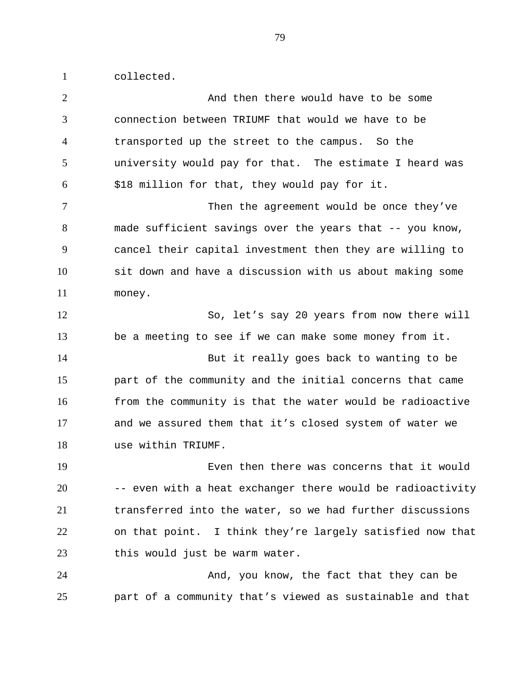collected. 1

| $\overline{2}$ | And then there would have to be some                       |
|----------------|------------------------------------------------------------|
| 3              | connection between TRIUMF that would we have to be         |
| $\overline{4}$ | transported up the street to the campus. So the            |
| 5              | university would pay for that. The estimate I heard was    |
| 6              | \$18 million for that, they would pay for it.              |
| $\overline{7}$ | Then the agreement would be once they've                   |
| 8              | made sufficient savings over the years that -- you know,   |
| 9              | cancel their capital investment then they are willing to   |
| 10             | sit down and have a discussion with us about making some   |
| 11             | money.                                                     |
| 12             | So, let's say 20 years from now there will                 |
| 13             | be a meeting to see if we can make some money from it.     |
| 14             | But it really goes back to wanting to be                   |
| 15             | part of the community and the initial concerns that came   |
| 16             | from the community is that the water would be radioactive  |
| 17             | and we assured them that it's closed system of water we    |
| 18             | use within TRIUMF.                                         |
| 19             | Even then there was concerns that it would                 |
| 20             | -- even with a heat exchanger there would be radioactivity |
| 21             | transferred into the water, so we had further discussions  |
| 22             | on that point. I think they're largely satisfied now that  |
| 23             | this would just be warm water.                             |
| 24             | And, you know, the fact that they can be                   |
| 25             | part of a community that's viewed as sustainable and that  |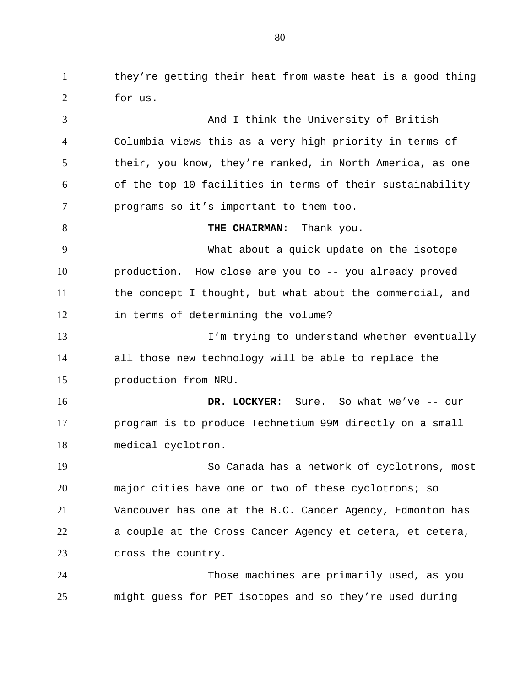they're getting their heat from waste heat is a good thing for us. 1 2

And I think the University of British Columbia views this as a very high priority in terms of their, you know, they're ranked, in North America, as one of the top 10 facilities in terms of their sustainability programs so it's important to them too.  **THE CHAIRMAN**: Thank you. What about a quick update on the isotope production. How close are you to -- you already proved the concept I thought, but what about the commercial, and in terms of determining the volume? I'm trying to understand whether eventually all those new technology will be able to replace the production from NRU.  **DR. LOCKYER**: Sure. So what we've -- our program is to produce Technetium 99M directly on a small medical cyclotron. So Canada has a network of cyclotrons, most major cities have one or two of these cyclotrons; so Vancouver has one at the B.C. Cancer Agency, Edmonton has a couple at the Cross Cancer Agency et cetera, et cetera, cross the country. Those machines are primarily used, as you might guess for PET isotopes and so they're used during 3 4 5 6 7 8 9 10 11 12 13 14 15 16 17 18 19 20 21 22 23 24 25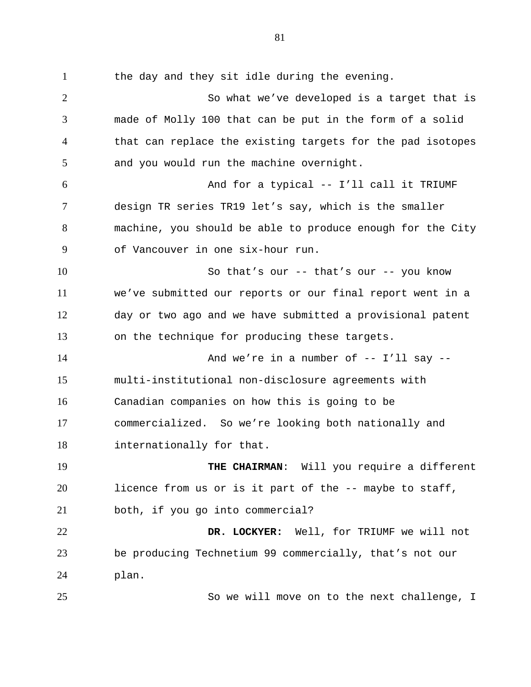the day and they sit idle during the evening. So what we've developed is a target that is made of Molly 100 that can be put in the form of a solid that can replace the existing targets for the pad isotopes and you would run the machine overnight. And for a typical -- I'll call it TRIUMF design TR series TR19 let's say, which is the smaller machine, you should be able to produce enough for the City of Vancouver in one six-hour run. So that's our -- that's our -- you know we've submitted our reports or our final report went in a day or two ago and we have submitted a provisional patent on the technique for producing these targets. And we're in a number of  $-$ - I'll say  $-$ multi-institutional non-disclosure agreements with Canadian companies on how this is going to be commercialized. So we're looking both nationally and internationally for that.  **THE CHAIRMAN**: Will you require a different licence from us or is it part of the -- maybe to staff, both, if you go into commercial? **DR. LOCKYER:** Well, for TRIUMF we will not be producing Technetium 99 commercially, that's not our plan. 1 2 3 4 5 6 7 8 9 10 11 12 13 14 15 16 17 18 19 20 21 22 23 24

25

So we will move on to the next challenge, I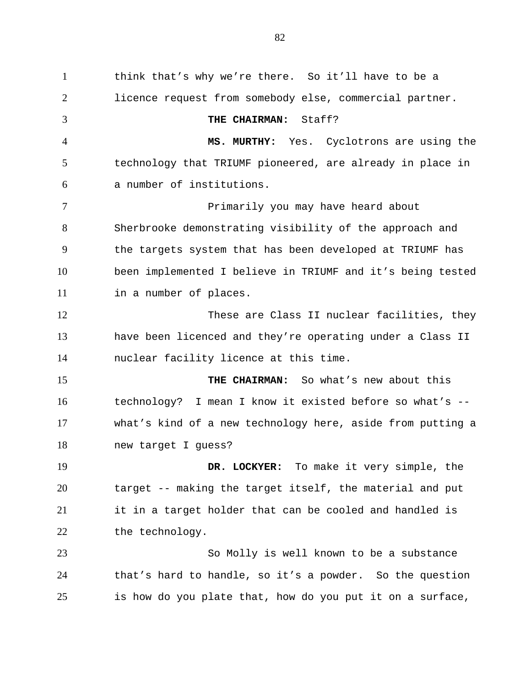think that's why we're there. So it'll have to be a licence request from somebody else, commercial partner. **THE CHAIRMAN:** Staff? **MS. MURTHY:** Yes. Cyclotrons are using the technology that TRIUMF pioneered, are already in place in a number of institutions. Primarily you may have heard about Sherbrooke demonstrating visibility of the approach and the targets system that has been developed at TRIUMF has been implemented I believe in TRIUMF and it's being tested in a number of places. These are Class II nuclear facilities, they have been licenced and they're operating under a Class II nuclear facility licence at this time. **THE CHAIRMAN:** So what's new about this technology? I mean I know it existed before so what's - what's kind of a new technology here, aside from putting a new target I guess? **DR. LOCKYER:** To make it very simple, the target -- making the target itself, the material and put it in a target holder that can be cooled and handled is the technology. So Molly is well known to be a substance that's hard to handle, so it's a powder. So the question is how do you plate that, how do you put it on a surface, 1 2 3 4 5 6 7 8 9 10 11 12 13 14 15 16 17 18 19 20 21 22 23 24 25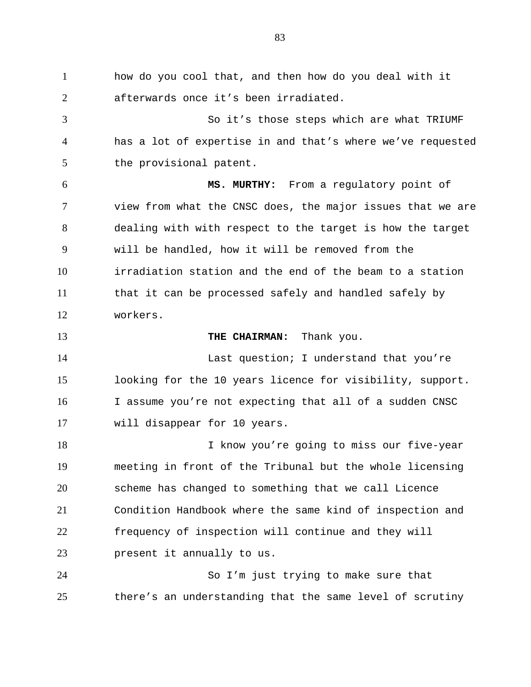how do you cool that, and then how do you deal with it afterwards once it's been irradiated. So it's those steps which are what TRIUMF has a lot of expertise in and that's where we've requested the provisional patent. **MS. MURTHY:** From a regulatory point of view from what the CNSC does, the major issues that we are dealing with with respect to the target is how the target will be handled, how it will be removed from the irradiation station and the end of the beam to a station that it can be processed safely and handled safely by workers. **THE CHAIRMAN:** Thank you. Last question; I understand that you're looking for the 10 years licence for visibility, support. I assume you're not expecting that all of a sudden CNSC will disappear for 10 years. I know you're going to miss our five-year meeting in front of the Tribunal but the whole licensing scheme has changed to something that we call Licence Condition Handbook where the same kind of inspection and frequency of inspection will continue and they will present it annually to us. 1 2 3 4 5 6 7 8 9 10 11 12 13 14 15 16 17 18 19 20 21 22 23

So I'm just trying to make sure that there's an understanding that the same level of scrutiny 24 25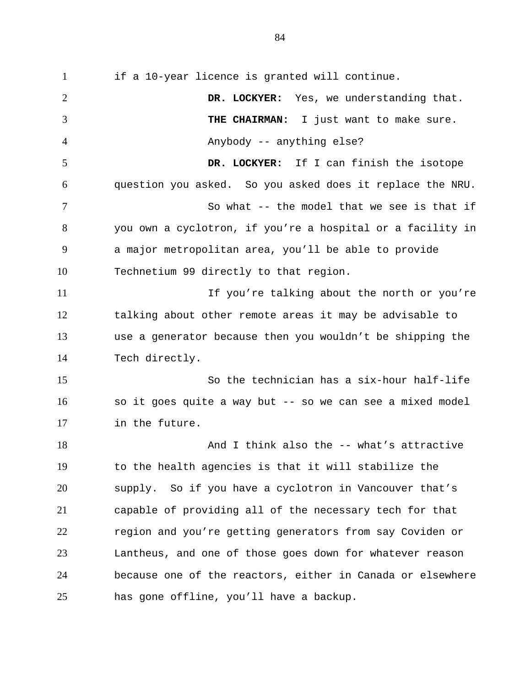if a 10-year licence is granted will continue. **DR. LOCKYER:** Yes, we understanding that.  **THE CHAIRMAN:** I just want to make sure. Anybody -- anything else? **DR. LOCKYER:** If I can finish the isotope question you asked. So you asked does it replace the NRU. So what -- the model that we see is that if you own a cyclotron, if you're a hospital or a facility in a major metropolitan area, you'll be able to provide Technetium 99 directly to that region. If you're talking about the north or you're talking about other remote areas it may be advisable to use a generator because then you wouldn't be shipping the Tech directly. So the technician has a six-hour half-life so it goes quite a way but -- so we can see a mixed model in the future. And I think also the -- what's attractive to the health agencies is that it will stabilize the supply. So if you have a cyclotron in Vancouver that's capable of providing all of the necessary tech for that region and you're getting generators from say Coviden or Lantheus, and one of those goes down for whatever reason because one of the reactors, either in Canada or elsewhere has gone offline, you'll have a backup. 1 2 3 4 5 6 7 8 9 10 11 12 13 14 15 16 17 18 19 20 21 22 23 24 25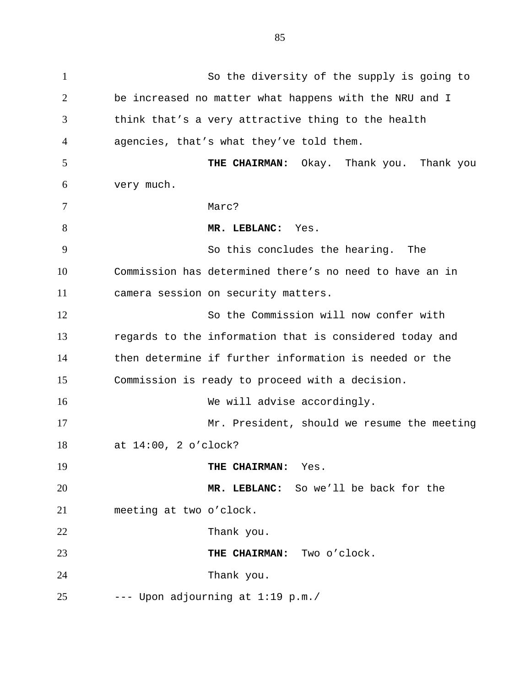So the diversity of the supply is going to be increased no matter what happens with the NRU and I think that's a very attractive thing to the health agencies, that's what they've told them.  **THE CHAIRMAN:** Okay. Thank you. Thank you very much. Marc? **MR. LEBLANC:** Yes. So this concludes the hearing. The Commission has determined there's no need to have an in camera session on security matters. So the Commission will now confer with regards to the information that is considered today and then determine if further information is needed or the Commission is ready to proceed with a decision. We will advise accordingly. Mr. President, should we resume the meeting at 14:00, 2 o'clock?  **THE CHAIRMAN:** Yes.  **MR. LEBLANC:** So we'll be back for the meeting at two o'clock. Thank you. **THE CHAIRMAN:** Two o'clock. Thank you. --- Upon adjourning at 1:19 p.m./ 1 2 3 4 5 6 7 8 9 10 11 12 13 14 15 16 17 18 19 20 21 22 23 24 25